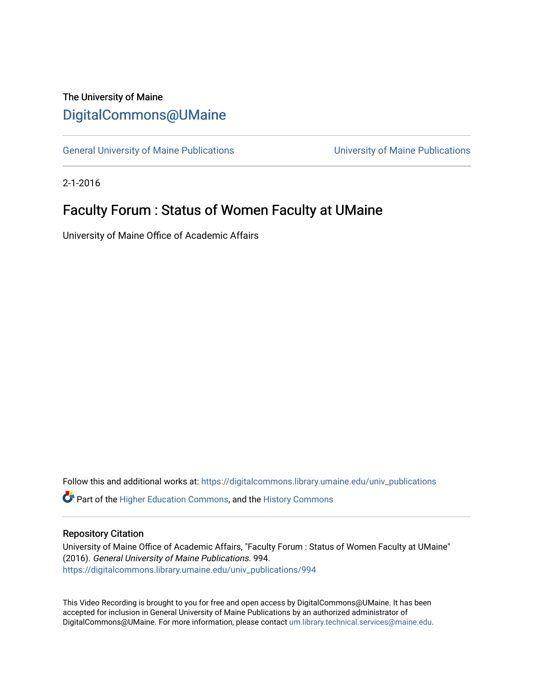## The University of Maine [DigitalCommons@UMaine](https://digitalcommons.library.umaine.edu/)

[General University of Maine Publications](https://digitalcommons.library.umaine.edu/univ_publications) [University of Maine Publications](https://digitalcommons.library.umaine.edu/umaine_publications) 

2-1-2016

## Faculty Forum : Status of Women Faculty at UMaine

University of Maine Office of Academic Affairs

Follow this and additional works at: [https://digitalcommons.library.umaine.edu/univ\\_publications](https://digitalcommons.library.umaine.edu/univ_publications?utm_source=digitalcommons.library.umaine.edu%2Funiv_publications%2F994&utm_medium=PDF&utm_campaign=PDFCoverPages) 

**C** Part of the [Higher Education Commons,](http://network.bepress.com/hgg/discipline/1245?utm_source=digitalcommons.library.umaine.edu%2Funiv_publications%2F994&utm_medium=PDF&utm_campaign=PDFCoverPages) and the [History Commons](http://network.bepress.com/hgg/discipline/489?utm_source=digitalcommons.library.umaine.edu%2Funiv_publications%2F994&utm_medium=PDF&utm_campaign=PDFCoverPages)

## Repository Citation

University of Maine Office of Academic Affairs, "Faculty Forum : Status of Women Faculty at UMaine" (2016). General University of Maine Publications. 994. [https://digitalcommons.library.umaine.edu/univ\\_publications/994](https://digitalcommons.library.umaine.edu/univ_publications/994?utm_source=digitalcommons.library.umaine.edu%2Funiv_publications%2F994&utm_medium=PDF&utm_campaign=PDFCoverPages) 

This Video Recording is brought to you for free and open access by DigitalCommons@UMaine. It has been accepted for inclusion in General University of Maine Publications by an authorized administrator of DigitalCommons@UMaine. For more information, please contact [um.library.technical.services@maine.edu](mailto:um.library.technical.services@maine.edu).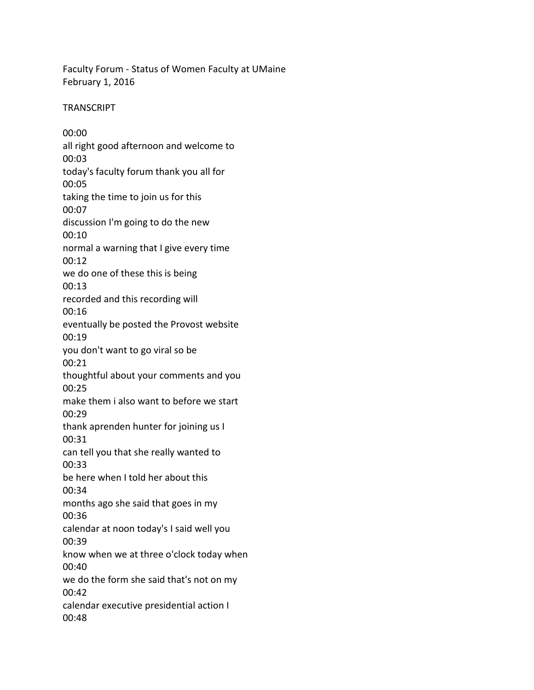Faculty Forum - Status of Women Faculty at UMaine February 1, 2016

**TRANSCRIPT** 

00:00 all right good afternoon and welcome to 00:03 today's faculty forum thank you all for 00:05 taking the time to join us for this 00:07 discussion I'm going to do the new 00:10 normal a warning that I give every time 00:12 we do one of these this is being 00:13 recorded and this recording will 00:16 eventually be posted the Provost website 00:19 you don't want to go viral so be 00:21 thoughtful about your comments and you 00:25 make them i also want to before we start 00:29 thank aprenden hunter for joining us I 00:31 can tell you that she really wanted to 00:33 be here when I told her about this 00:34 months ago she said that goes in my 00:36 calendar at noon today's I said well you 00:39 know when we at three o'clock today when 00:40 we do the form she said that's not on my 00:42 calendar executive presidential action I 00:48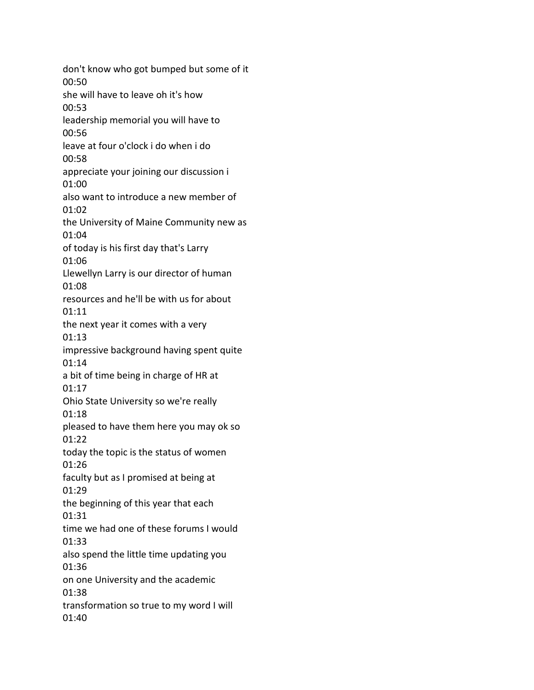don't know who got bumped but some of it 00:50 she will have to leave oh it's how 00:53 leadership memorial you will have to 00:56 leave at four o'clock i do when i do 00:58 appreciate your joining our discussion i 01:00 also want to introduce a new member of 01:02 the University of Maine Community new as 01:04 of today is his first day that's Larry 01:06 Llewellyn Larry is our director of human 01:08 resources and he'll be with us for about 01:11 the next year it comes with a very 01:13 impressive background having spent quite 01:14 a bit of time being in charge of HR at 01:17 Ohio State University so we're really 01:18 pleased to have them here you may ok so 01:22 today the topic is the status of women 01:26 faculty but as I promised at being at 01:29 the beginning of this year that each 01:31 time we had one of these forums I would 01:33 also spend the little time updating you 01:36 on one University and the academic 01:38 transformation so true to my word I will 01:40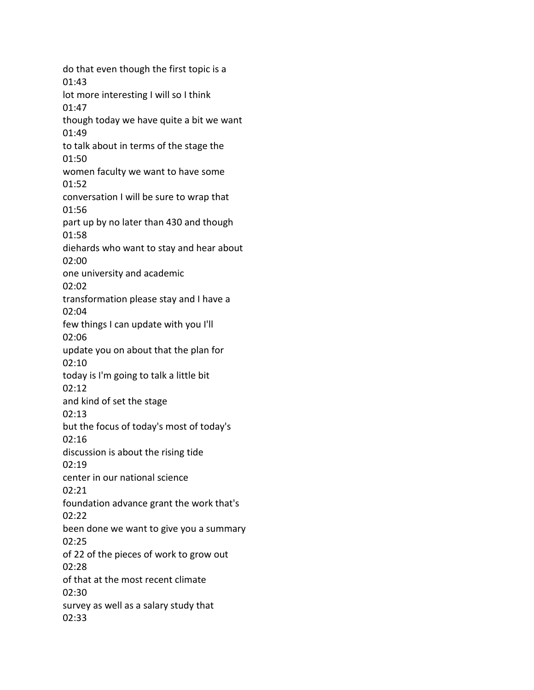do that even though the first topic is a 01:43 lot more interesting I will so I think 01:47 though today we have quite a bit we want 01:49 to talk about in terms of the stage the 01:50 women faculty we want to have some 01:52 conversation I will be sure to wrap that 01:56 part up by no later than 430 and though 01:58 diehards who want to stay and hear about 02:00 one university and academic 02:02 transformation please stay and I have a 02:04 few things I can update with you I'll 02:06 update you on about that the plan for 02:10 today is I'm going to talk a little bit 02:12 and kind of set the stage 02:13 but the focus of today's most of today's 02:16 discussion is about the rising tide 02:19 center in our national science 02:21 foundation advance grant the work that's 02:22 been done we want to give you a summary 02:25 of 22 of the pieces of work to grow out 02:28 of that at the most recent climate 02:30 survey as well as a salary study that 02:33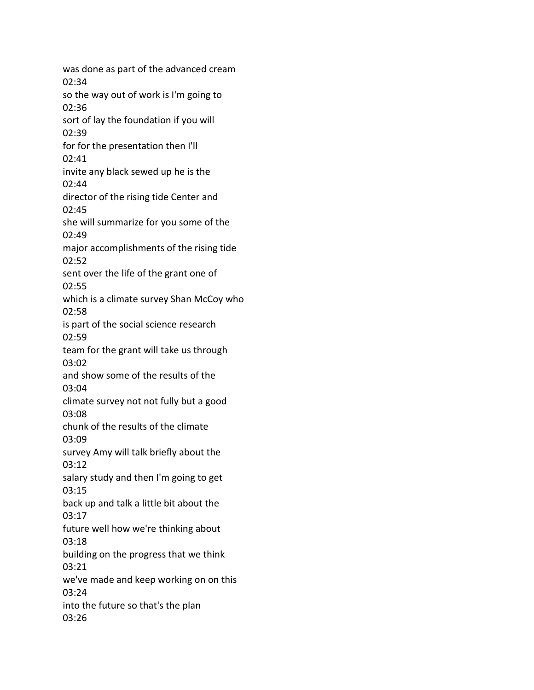was done as part of the advanced cream 02:34 so the way out of work is I'm going to 02:36 sort of lay the foundation if you will 02:39 for for the presentation then I'll 02:41 invite any black sewed up he is the 02:44 director of the rising tide Center and 02:45 she will summarize for you some of the 02:49 major accomplishments of the rising tide 02:52 sent over the life of the grant one of 02:55 which is a climate survey Shan McCoy who 02:58 is part of the social science research 02:59 team for the grant will take us through 03:02 and show some of the results of the 03:04 climate survey not not fully but a good 03:08 chunk of the results of the climate 03:09 survey Amy will talk briefly about the 03:12 salary study and then I'm going to get 03:15 back up and talk a little bit about the 03:17 future well how we're thinking about 03:18 building on the progress that we think 03:21 we've made and keep working on on this 03:24 into the future so that's the plan 03:26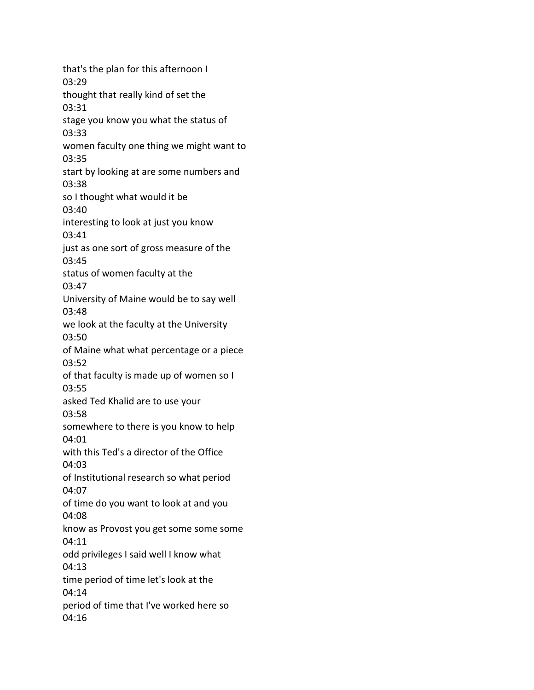that's the plan for this afternoon I 03:29 thought that really kind of set the 03:31 stage you know you what the status of 03:33 women faculty one thing we might want to 03:35 start by looking at are some numbers and 03:38 so I thought what would it be 03:40 interesting to look at just you know 03:41 just as one sort of gross measure of the 03:45 status of women faculty at the 03:47 University of Maine would be to say well 03:48 we look at the faculty at the University 03:50 of Maine what what percentage or a piece 03:52 of that faculty is made up of women so I 03:55 asked Ted Khalid are to use your 03:58 somewhere to there is you know to help 04:01 with this Ted's a director of the Office 04:03 of Institutional research so what period 04:07 of time do you want to look at and you 04:08 know as Provost you get some some some 04:11 odd privileges I said well I know what 04:13 time period of time let's look at the 04:14 period of time that I've worked here so 04:16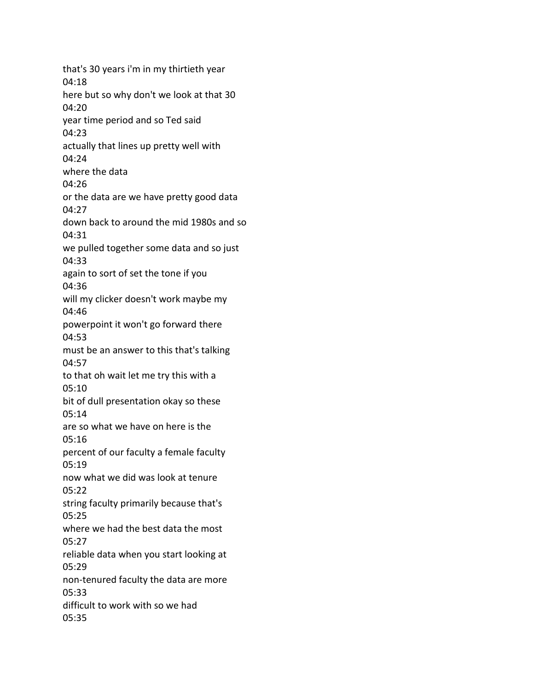that's 30 years i'm in my thirtieth year 04:18 here but so why don't we look at that 30 04:20 year time period and so Ted said 04:23 actually that lines up pretty well with 04:24 where the data 04:26 or the data are we have pretty good data 04:27 down back to around the mid 1980s and so 04:31 we pulled together some data and so just 04:33 again to sort of set the tone if you 04:36 will my clicker doesn't work maybe my 04:46 powerpoint it won't go forward there 04:53 must be an answer to this that's talking 04:57 to that oh wait let me try this with a 05:10 bit of dull presentation okay so these 05:14 are so what we have on here is the 05:16 percent of our faculty a female faculty 05:19 now what we did was look at tenure 05:22 string faculty primarily because that's 05:25 where we had the best data the most 05:27 reliable data when you start looking at 05:29 non-tenured faculty the data are more 05:33 difficult to work with so we had 05:35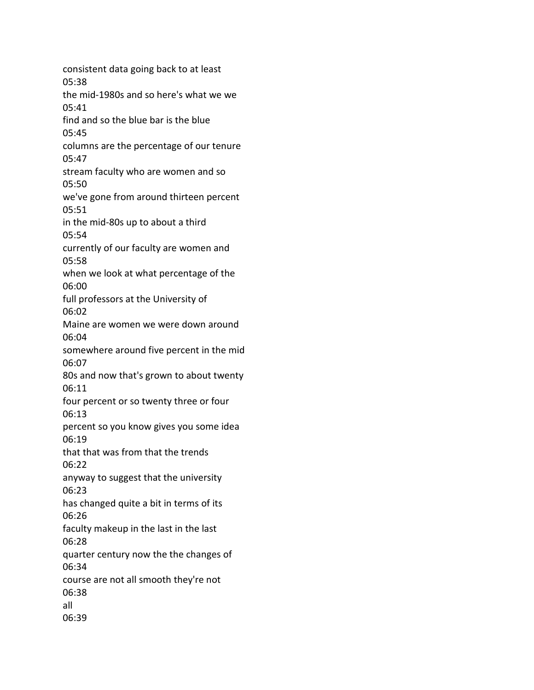consistent data going back to at least 05:38 the mid-1980s and so here's what we we 05:41 find and so the blue bar is the blue 05:45 columns are the percentage of our tenure 05:47 stream faculty who are women and so 05:50 we've gone from around thirteen percent 05:51 in the mid-80s up to about a third 05:54 currently of our faculty are women and 05:58 when we look at what percentage of the 06:00 full professors at the University of 06:02 Maine are women we were down around 06:04 somewhere around five percent in the mid 06:07 80s and now that's grown to about twenty 06:11 four percent or so twenty three or four 06:13 percent so you know gives you some idea 06:19 that that was from that the trends 06:22 anyway to suggest that the university 06:23 has changed quite a bit in terms of its 06:26 faculty makeup in the last in the last 06:28 quarter century now the the changes of 06:34 course are not all smooth they're not 06:38 all 06:39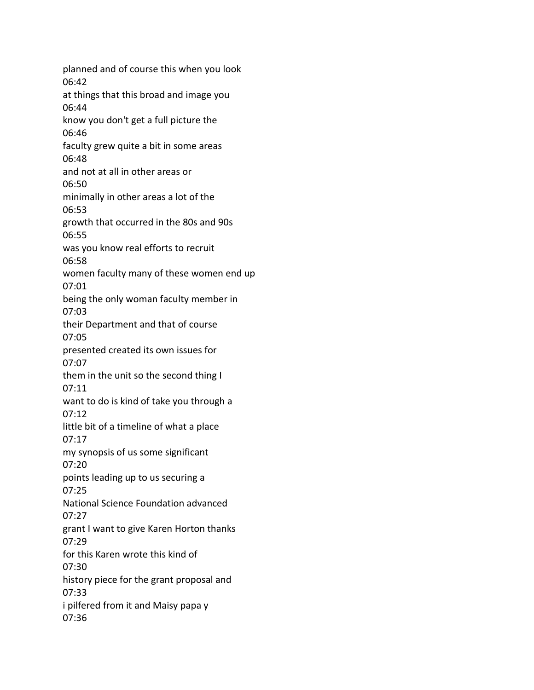planned and of course this when you look 06:42 at things that this broad and image you 06:44 know you don't get a full picture the 06:46 faculty grew quite a bit in some areas 06:48 and not at all in other areas or 06:50 minimally in other areas a lot of the 06:53 growth that occurred in the 80s and 90s 06:55 was you know real efforts to recruit 06:58 women faculty many of these women end up 07:01 being the only woman faculty member in 07:03 their Department and that of course 07:05 presented created its own issues for 07:07 them in the unit so the second thing I 07:11 want to do is kind of take you through a 07:12 little bit of a timeline of what a place 07:17 my synopsis of us some significant 07:20 points leading up to us securing a 07:25 National Science Foundation advanced 07:27 grant I want to give Karen Horton thanks 07:29 for this Karen wrote this kind of 07:30 history piece for the grant proposal and 07:33 i pilfered from it and Maisy papa y 07:36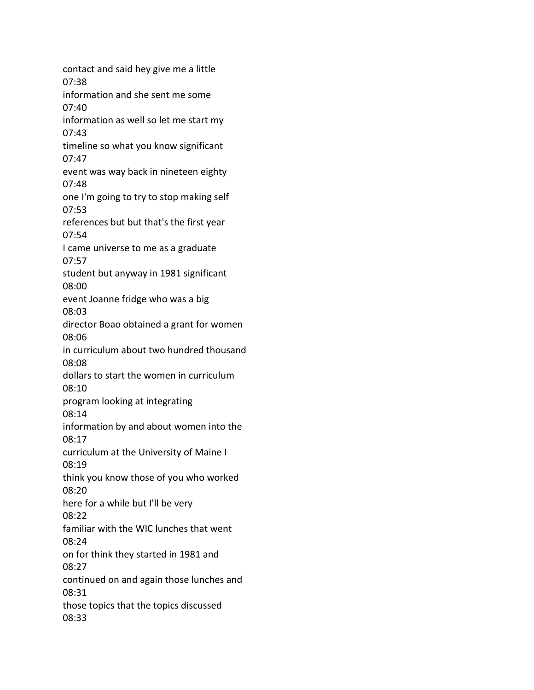contact and said hey give me a little 07:38 information and she sent me some 07:40 information as well so let me start my 07:43 timeline so what you know significant 07:47 event was way back in nineteen eighty 07:48 one I'm going to try to stop making self 07:53 references but but that's the first year 07:54 I came universe to me as a graduate 07:57 student but anyway in 1981 significant 08:00 event Joanne fridge who was a big 08:03 director Boao obtained a grant for women 08:06 in curriculum about two hundred thousand 08:08 dollars to start the women in curriculum 08:10 program looking at integrating 08:14 information by and about women into the 08:17 curriculum at the University of Maine I 08:19 think you know those of you who worked 08:20 here for a while but I'll be very 08:22 familiar with the WIC lunches that went 08:24 on for think they started in 1981 and 08:27 continued on and again those lunches and 08:31 those topics that the topics discussed 08:33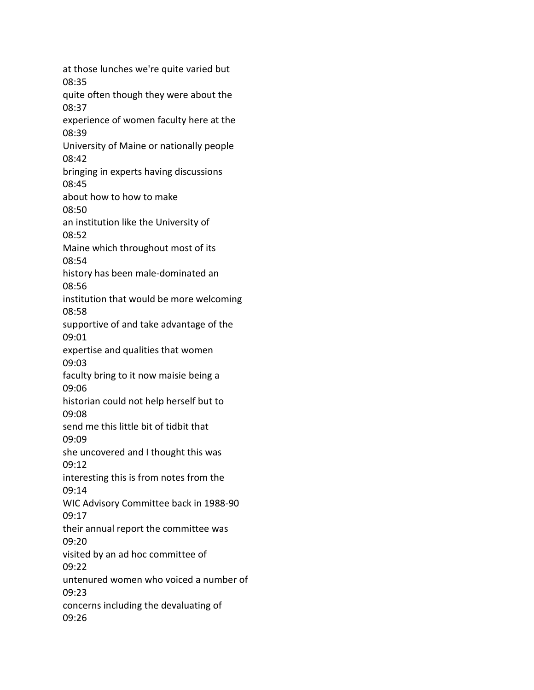at those lunches we're quite varied but 08:35 quite often though they were about the 08:37 experience of women faculty here at the 08:39 University of Maine or nationally people 08:42 bringing in experts having discussions 08:45 about how to how to make 08:50 an institution like the University of 08:52 Maine which throughout most of its 08:54 history has been male-dominated an 08:56 institution that would be more welcoming 08:58 supportive of and take advantage of the 09:01 expertise and qualities that women 09:03 faculty bring to it now maisie being a 09:06 historian could not help herself but to 09:08 send me this little bit of tidbit that 09:09 she uncovered and I thought this was 09:12 interesting this is from notes from the 09:14 WIC Advisory Committee back in 1988-90 09:17 their annual report the committee was 09:20 visited by an ad hoc committee of 09:22 untenured women who voiced a number of 09:23 concerns including the devaluating of 09:26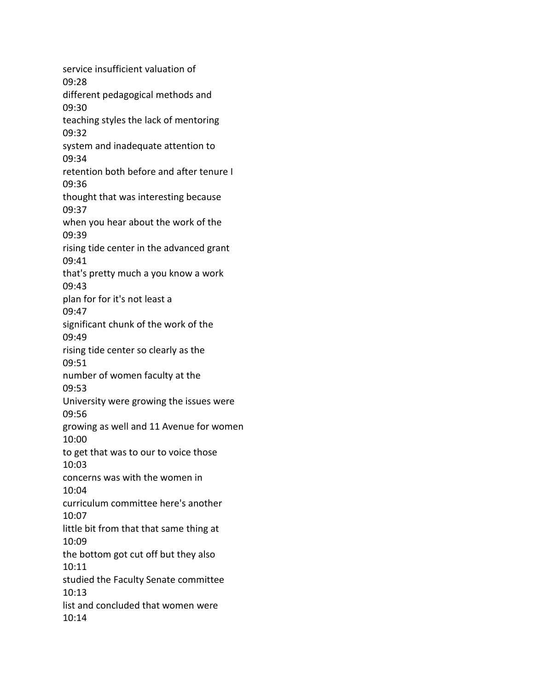service insufficient valuation of 09:28 different pedagogical methods and 09:30 teaching styles the lack of mentoring 09:32 system and inadequate attention to 09:34 retention both before and after tenure I 09:36 thought that was interesting because 09:37 when you hear about the work of the 09:39 rising tide center in the advanced grant 09:41 that's pretty much a you know a work 09:43 plan for for it's not least a 09:47 significant chunk of the work of the 09:49 rising tide center so clearly as the 09:51 number of women faculty at the 09:53 University were growing the issues were 09:56 growing as well and 11 Avenue for women 10:00 to get that was to our to voice those 10:03 concerns was with the women in 10:04 curriculum committee here's another 10:07 little bit from that that same thing at 10:09 the bottom got cut off but they also 10:11 studied the Faculty Senate committee 10:13 list and concluded that women were 10:14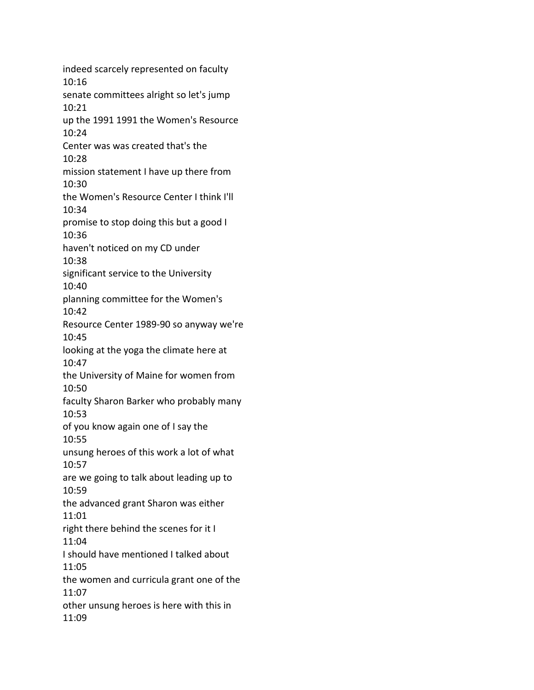indeed scarcely represented on faculty 10:16 senate committees alright so let's jump 10:21 up the 1991 1991 the Women's Resource 10:24 Center was was created that's the 10:28 mission statement I have up there from 10:30 the Women's Resource Center I think I'll 10:34 promise to stop doing this but a good I 10:36 haven't noticed on my CD under 10:38 significant service to the University 10:40 planning committee for the Women's 10:42 Resource Center 1989-90 so anyway we're 10:45 looking at the yoga the climate here at 10:47 the University of Maine for women from 10:50 faculty Sharon Barker who probably many 10:53 of you know again one of I say the 10:55 unsung heroes of this work a lot of what 10:57 are we going to talk about leading up to 10:59 the advanced grant Sharon was either 11:01 right there behind the scenes for it I 11:04 I should have mentioned I talked about 11:05 the women and curricula grant one of the 11:07 other unsung heroes is here with this in 11:09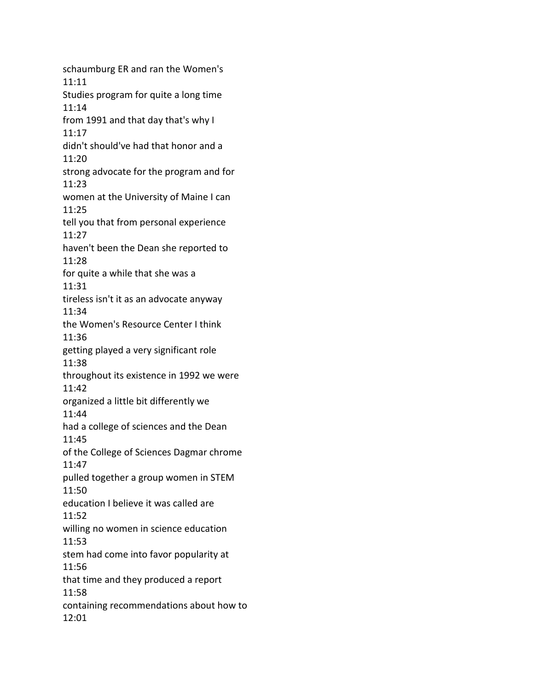schaumburg ER and ran the Women's 11:11 Studies program for quite a long time 11:14 from 1991 and that day that's why I 11:17 didn't should've had that honor and a 11:20 strong advocate for the program and for 11:23 women at the University of Maine I can 11:25 tell you that from personal experience 11:27 haven't been the Dean she reported to 11:28 for quite a while that she was a 11:31 tireless isn't it as an advocate anyway 11:34 the Women's Resource Center I think 11:36 getting played a very significant role 11:38 throughout its existence in 1992 we were 11:42 organized a little bit differently we 11:44 had a college of sciences and the Dean 11:45 of the College of Sciences Dagmar chrome 11:47 pulled together a group women in STEM 11:50 education I believe it was called are 11:52 willing no women in science education 11:53 stem had come into favor popularity at 11:56 that time and they produced a report 11:58 containing recommendations about how to 12:01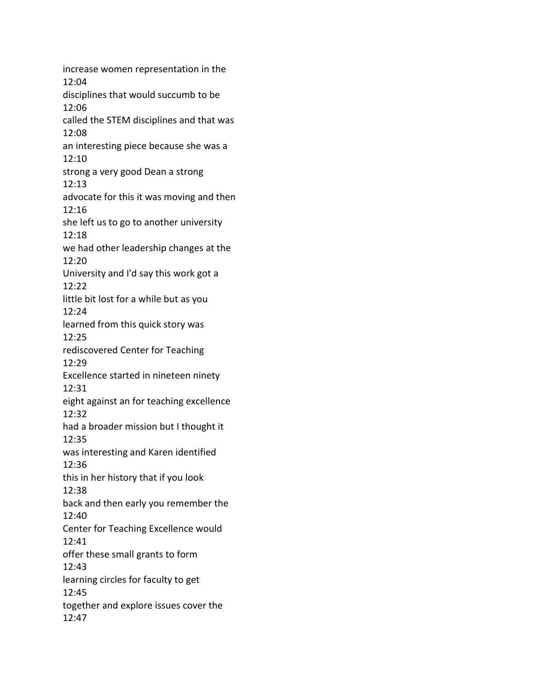increase women representation in the 12:04 disciplines that would succumb to be 12:06 called the STEM disciplines and that was 12:08 an interesting piece because she was a 12:10 strong a very good Dean a strong 12:13 advocate for this it was moving and then 12:16 she left us to go to another university 12:18 we had other leadership changes at the 12:20 University and I'd say this work got a 12:22 little bit lost for a while but as you 12:24 learned from this quick story was 12:25 rediscovered Center for Teaching 12:29 Excellence started in nineteen ninety 12:31 eight against an for teaching excellence 12:32 had a broader mission but I thought it 12:35 was interesting and Karen identified 12:36 this in her history that if you look 12:38 back and then early you remember the 12:40 Center for Teaching Excellence would 12:41 offer these small grants to form 12:43 learning circles for faculty to get 12:45 together and explore issues cover the 12:47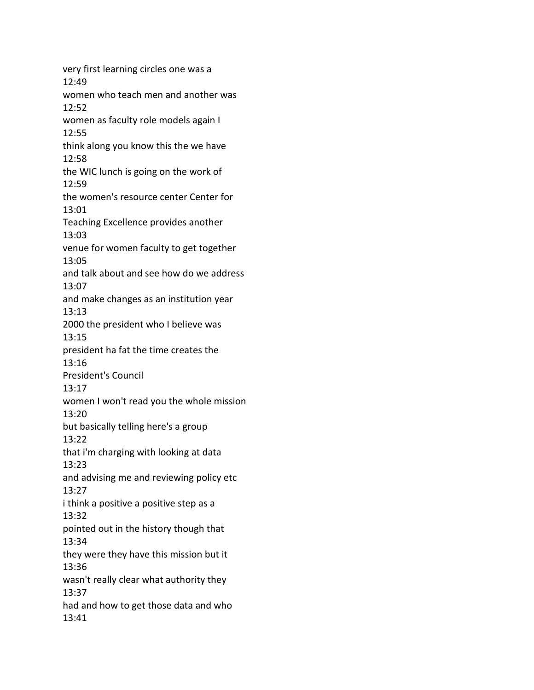very first learning circles one was a 12:49 women who teach men and another was 12:52 women as faculty role models again I 12:55 think along you know this the we have 12:58 the WIC lunch is going on the work of 12:59 the women's resource center Center for 13:01 Teaching Excellence provides another 13:03 venue for women faculty to get together 13:05 and talk about and see how do we address 13:07 and make changes as an institution year 13:13 2000 the president who I believe was 13:15 president ha fat the time creates the 13:16 President's Council 13:17 women I won't read you the whole mission 13:20 but basically telling here's a group 13:22 that i'm charging with looking at data 13:23 and advising me and reviewing policy etc 13:27 i think a positive a positive step as a 13:32 pointed out in the history though that 13:34 they were they have this mission but it 13:36 wasn't really clear what authority they 13:37 had and how to get those data and who 13:41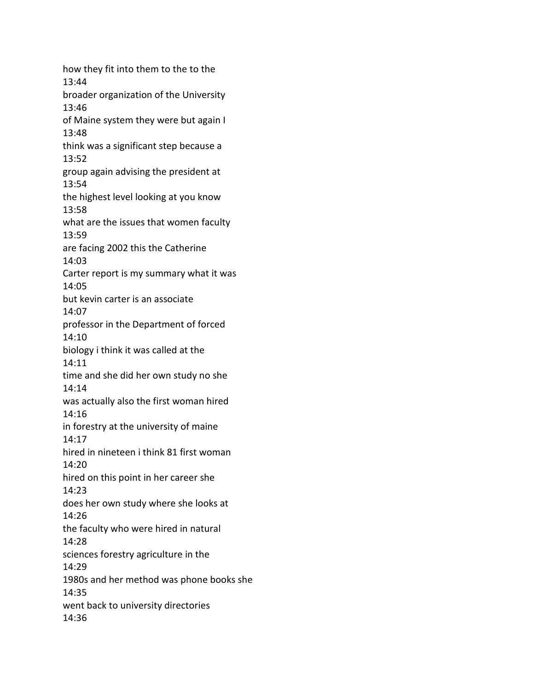how they fit into them to the to the 13:44 broader organization of the University 13:46 of Maine system they were but again I 13:48 think was a significant step because a 13:52 group again advising the president at 13:54 the highest level looking at you know 13:58 what are the issues that women faculty 13:59 are facing 2002 this the Catherine 14:03 Carter report is my summary what it was 14:05 but kevin carter is an associate 14:07 professor in the Department of forced 14:10 biology i think it was called at the 14:11 time and she did her own study no she 14:14 was actually also the first woman hired 14:16 in forestry at the university of maine 14:17 hired in nineteen i think 81 first woman 14:20 hired on this point in her career she 14:23 does her own study where she looks at 14:26 the faculty who were hired in natural 14:28 sciences forestry agriculture in the 14:29 1980s and her method was phone books she 14:35 went back to university directories 14:36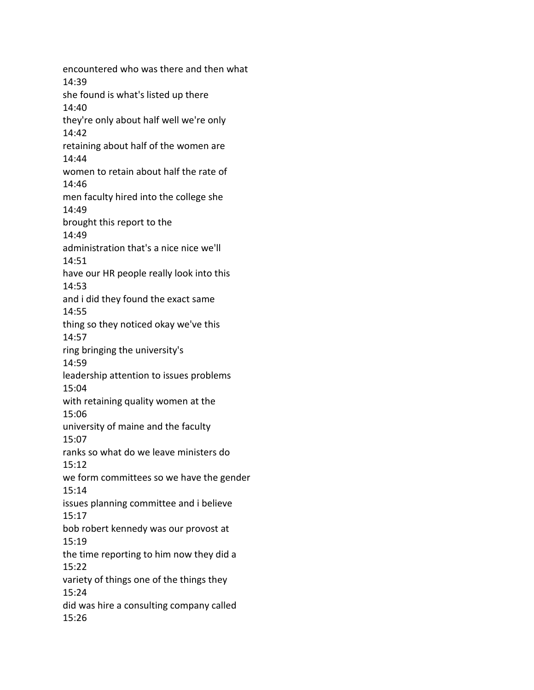encountered who was there and then what 14:39 she found is what's listed up there 14:40 they're only about half well we're only 14:42 retaining about half of the women are 14:44 women to retain about half the rate of 14:46 men faculty hired into the college she 14:49 brought this report to the 14:49 administration that's a nice nice we'll 14:51 have our HR people really look into this 14:53 and i did they found the exact same 14:55 thing so they noticed okay we've this 14:57 ring bringing the university's 14:59 leadership attention to issues problems 15:04 with retaining quality women at the 15:06 university of maine and the faculty 15:07 ranks so what do we leave ministers do 15:12 we form committees so we have the gender 15:14 issues planning committee and i believe 15:17 bob robert kennedy was our provost at 15:19 the time reporting to him now they did a 15:22 variety of things one of the things they 15:24 did was hire a consulting company called 15:26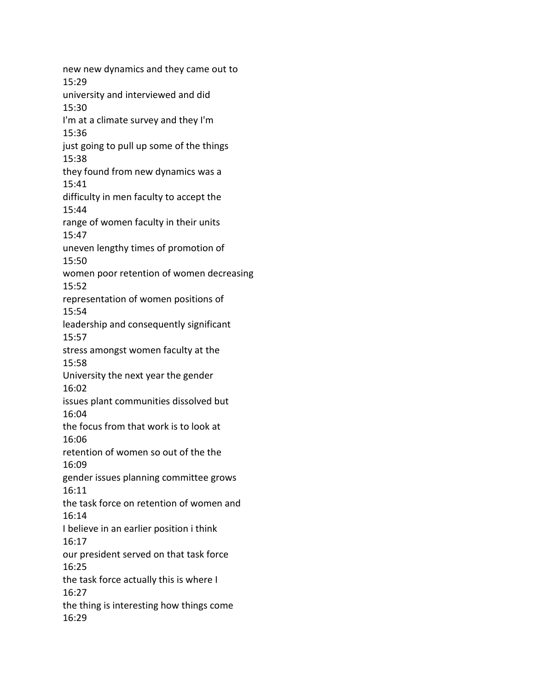new new dynamics and they came out to 15:29 university and interviewed and did 15:30 I'm at a climate survey and they I'm 15:36 just going to pull up some of the things 15:38 they found from new dynamics was a 15:41 difficulty in men faculty to accept the 15:44 range of women faculty in their units 15:47 uneven lengthy times of promotion of 15:50 women poor retention of women decreasing 15:52 representation of women positions of 15:54 leadership and consequently significant 15:57 stress amongst women faculty at the 15:58 University the next year the gender 16:02 issues plant communities dissolved but 16:04 the focus from that work is to look at 16:06 retention of women so out of the the 16:09 gender issues planning committee grows 16:11 the task force on retention of women and 16:14 I believe in an earlier position i think 16:17 our president served on that task force 16:25 the task force actually this is where I 16:27 the thing is interesting how things come 16:29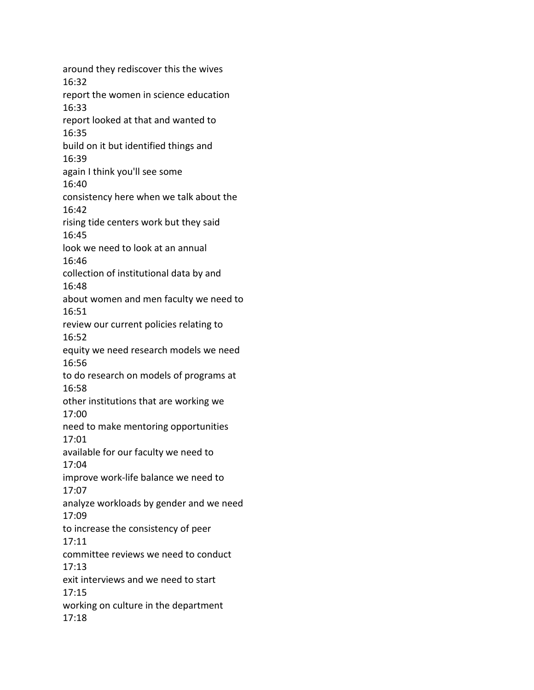around they rediscover this the wives 16:32 report the women in science education 16:33 report looked at that and wanted to 16:35 build on it but identified things and 16:39 again I think you'll see some 16:40 consistency here when we talk about the 16:42 rising tide centers work but they said 16:45 look we need to look at an annual 16:46 collection of institutional data by and 16:48 about women and men faculty we need to 16:51 review our current policies relating to 16:52 equity we need research models we need 16:56 to do research on models of programs at 16:58 other institutions that are working we 17:00 need to make mentoring opportunities 17:01 available for our faculty we need to 17:04 improve work-life balance we need to 17:07 analyze workloads by gender and we need 17:09 to increase the consistency of peer 17:11 committee reviews we need to conduct 17:13 exit interviews and we need to start 17:15 working on culture in the department 17:18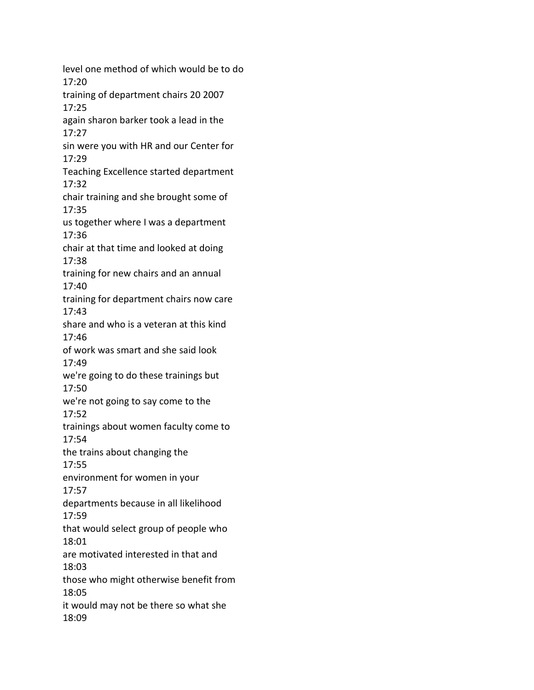level one method of which would be to do 17:20 training of department chairs 20 2007 17:25 again sharon barker took a lead in the 17:27 sin were you with HR and our Center for 17:29 Teaching Excellence started department 17:32 chair training and she brought some of 17:35 us together where I was a department 17:36 chair at that time and looked at doing 17:38 training for new chairs and an annual 17:40 training for department chairs now care 17:43 share and who is a veteran at this kind 17:46 of work was smart and she said look 17:49 we're going to do these trainings but 17:50 we're not going to say come to the 17:52 trainings about women faculty come to 17:54 the trains about changing the 17:55 environment for women in your 17:57 departments because in all likelihood 17:59 that would select group of people who 18:01 are motivated interested in that and 18:03 those who might otherwise benefit from 18:05 it would may not be there so what she 18:09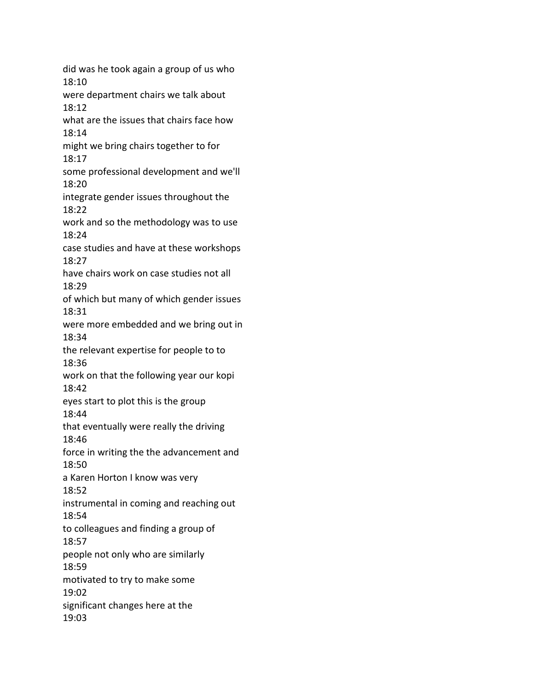did was he took again a group of us who 18:10 were department chairs we talk about 18:12 what are the issues that chairs face how 18:14 might we bring chairs together to for 18:17 some professional development and we'll 18:20 integrate gender issues throughout the 18:22 work and so the methodology was to use 18:24 case studies and have at these workshops 18:27 have chairs work on case studies not all 18:29 of which but many of which gender issues 18:31 were more embedded and we bring out in 18:34 the relevant expertise for people to to 18:36 work on that the following year our kopi 18:42 eyes start to plot this is the group 18:44 that eventually were really the driving 18:46 force in writing the the advancement and 18:50 a Karen Horton I know was very 18:52 instrumental in coming and reaching out 18:54 to colleagues and finding a group of 18:57 people not only who are similarly 18:59 motivated to try to make some 19:02 significant changes here at the 19:03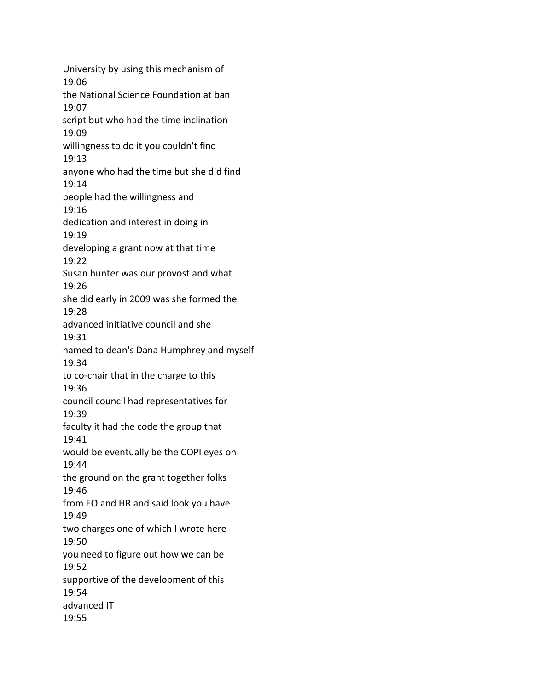University by using this mechanism of 19:06 the National Science Foundation at ban 19:07 script but who had the time inclination 19:09 willingness to do it you couldn't find 19:13 anyone who had the time but she did find 19:14 people had the willingness and 19:16 dedication and interest in doing in 19:19 developing a grant now at that time 19:22 Susan hunter was our provost and what 19:26 she did early in 2009 was she formed the 19:28 advanced initiative council and she 19:31 named to dean's Dana Humphrey and myself 19:34 to co-chair that in the charge to this 19:36 council council had representatives for 19:39 faculty it had the code the group that 19:41 would be eventually be the COPI eyes on 19:44 the ground on the grant together folks 19:46 from EO and HR and said look you have 19:49 two charges one of which I wrote here 19:50 you need to figure out how we can be 19:52 supportive of the development of this 19:54 advanced IT 19:55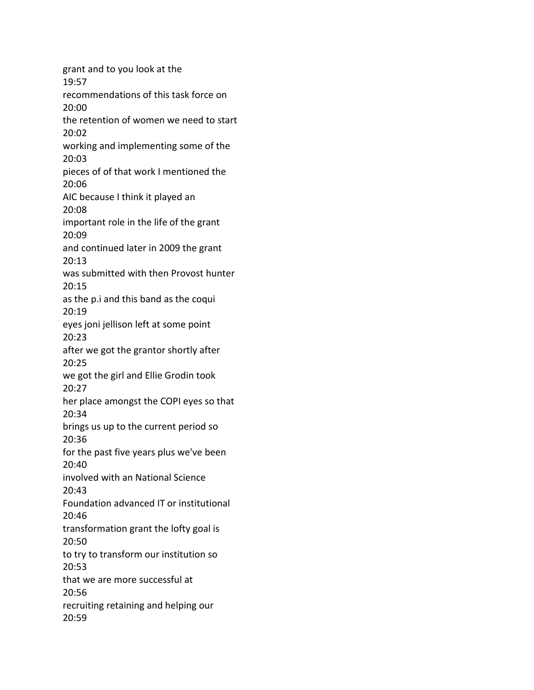grant and to you look at the 19:57 recommendations of this task force on 20:00 the retention of women we need to start 20:02 working and implementing some of the 20:03 pieces of of that work I mentioned the 20:06 AIC because I think it played an 20:08 important role in the life of the grant 20:09 and continued later in 2009 the grant 20:13 was submitted with then Provost hunter 20:15 as the p.i and this band as the coqui 20:19 eyes joni jellison left at some point 20:23 after we got the grantor shortly after 20:25 we got the girl and Ellie Grodin took 20:27 her place amongst the COPI eyes so that 20:34 brings us up to the current period so 20:36 for the past five years plus we've been 20:40 involved with an National Science 20:43 Foundation advanced IT or institutional 20:46 transformation grant the lofty goal is 20:50 to try to transform our institution so 20:53 that we are more successful at 20:56 recruiting retaining and helping our 20:59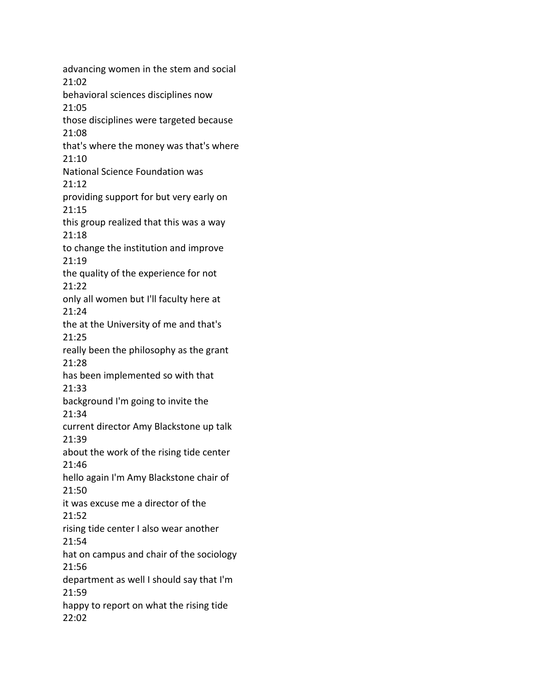advancing women in the stem and social 21:02 behavioral sciences disciplines now 21:05 those disciplines were targeted because 21:08 that's where the money was that's where 21:10 National Science Foundation was 21:12 providing support for but very early on 21:15 this group realized that this was a way 21:18 to change the institution and improve 21:19 the quality of the experience for not 21:22 only all women but I'll faculty here at 21:24 the at the University of me and that's 21:25 really been the philosophy as the grant 21:28 has been implemented so with that 21:33 background I'm going to invite the 21:34 current director Amy Blackstone up talk 21:39 about the work of the rising tide center 21:46 hello again I'm Amy Blackstone chair of 21:50 it was excuse me a director of the 21:52 rising tide center I also wear another 21:54 hat on campus and chair of the sociology 21:56 department as well I should say that I'm 21:59 happy to report on what the rising tide 22:02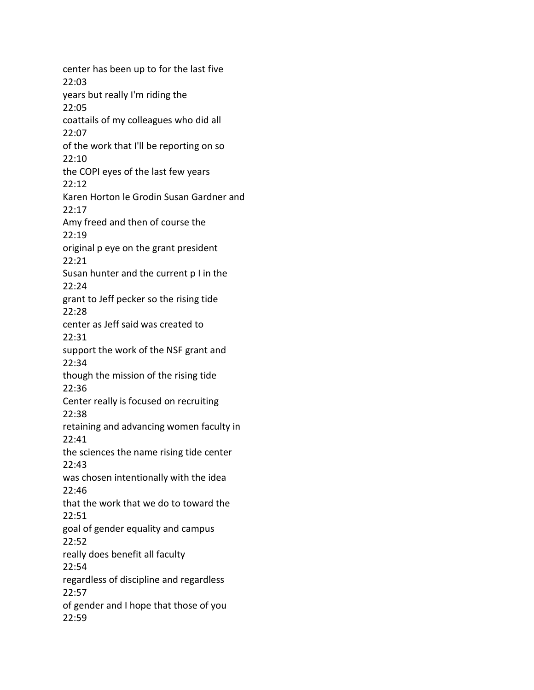center has been up to for the last five 22:03 years but really I'm riding the 22:05 coattails of my colleagues who did all 22:07 of the work that I'll be reporting on so 22:10 the COPI eyes of the last few years 22:12 Karen Horton le Grodin Susan Gardner and 22:17 Amy freed and then of course the 22:19 original p eye on the grant president 22:21 Susan hunter and the current p I in the 22:24 grant to Jeff pecker so the rising tide 22:28 center as Jeff said was created to 22:31 support the work of the NSF grant and 22:34 though the mission of the rising tide 22:36 Center really is focused on recruiting 22:38 retaining and advancing women faculty in 22:41 the sciences the name rising tide center 22:43 was chosen intentionally with the idea 22:46 that the work that we do to toward the 22:51 goal of gender equality and campus 22:52 really does benefit all faculty 22:54 regardless of discipline and regardless 22:57 of gender and I hope that those of you 22:59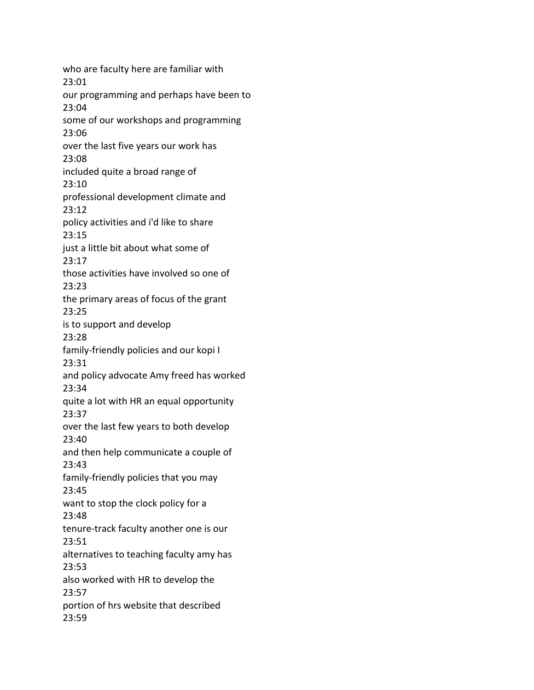who are faculty here are familiar with 23:01 our programming and perhaps have been to 23:04 some of our workshops and programming 23:06 over the last five years our work has 23:08 included quite a broad range of 23:10 professional development climate and 23:12 policy activities and i'd like to share 23:15 just a little bit about what some of 23:17 those activities have involved so one of 23:23 the primary areas of focus of the grant 23:25 is to support and develop 23:28 family-friendly policies and our kopi I 23:31 and policy advocate Amy freed has worked 23:34 quite a lot with HR an equal opportunity 23:37 over the last few years to both develop 23:40 and then help communicate a couple of 23:43 family-friendly policies that you may 23:45 want to stop the clock policy for a 23:48 tenure-track faculty another one is our 23:51 alternatives to teaching faculty amy has 23:53 also worked with HR to develop the 23:57 portion of hrs website that described 23:59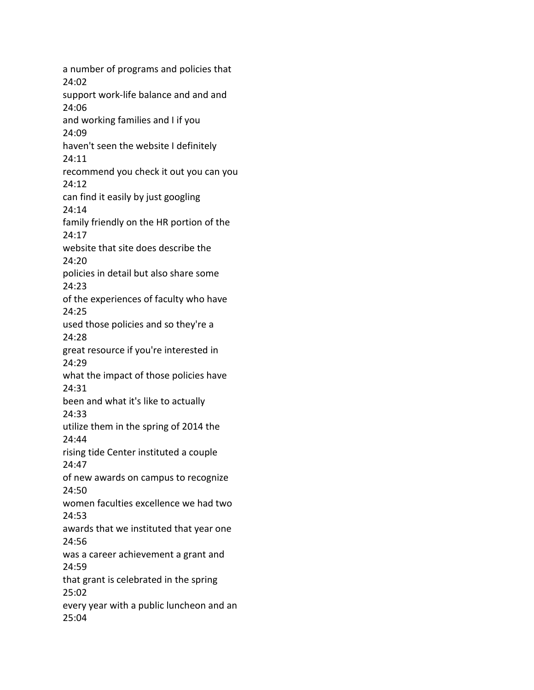a number of programs and policies that 24:02 support work-life balance and and and 24:06 and working families and I if you 24:09 haven't seen the website I definitely 24:11 recommend you check it out you can you 24:12 can find it easily by just googling 24:14 family friendly on the HR portion of the 24:17 website that site does describe the 24:20 policies in detail but also share some 24:23 of the experiences of faculty who have 24:25 used those policies and so they're a 24:28 great resource if you're interested in 24:29 what the impact of those policies have 24:31 been and what it's like to actually 24:33 utilize them in the spring of 2014 the 24:44 rising tide Center instituted a couple 24:47 of new awards on campus to recognize 24:50 women faculties excellence we had two 24:53 awards that we instituted that year one 24:56 was a career achievement a grant and 24:59 that grant is celebrated in the spring 25:02 every year with a public luncheon and an 25:04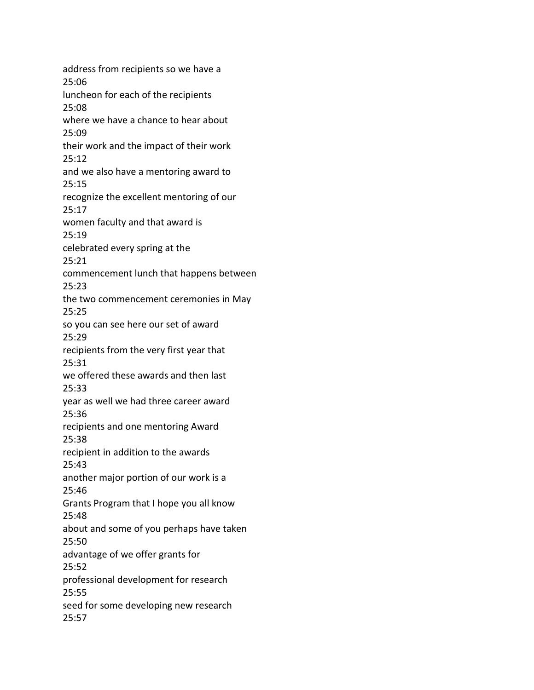address from recipients so we have a 25:06 luncheon for each of the recipients 25:08 where we have a chance to hear about 25:09 their work and the impact of their work 25:12 and we also have a mentoring award to 25:15 recognize the excellent mentoring of our 25:17 women faculty and that award is 25:19 celebrated every spring at the 25:21 commencement lunch that happens between 25:23 the two commencement ceremonies in May 25:25 so you can see here our set of award 25:29 recipients from the very first year that 25:31 we offered these awards and then last 25:33 year as well we had three career award 25:36 recipients and one mentoring Award 25:38 recipient in addition to the awards 25:43 another major portion of our work is a 25:46 Grants Program that I hope you all know 25:48 about and some of you perhaps have taken 25:50 advantage of we offer grants for 25:52 professional development for research 25:55 seed for some developing new research 25:57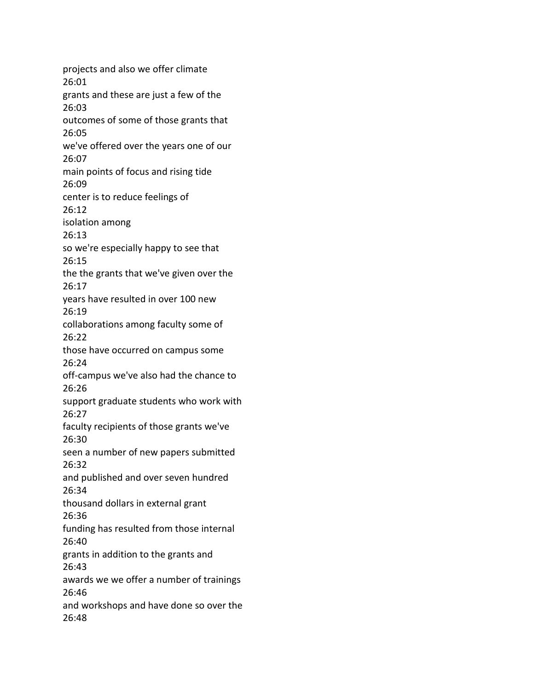projects and also we offer climate 26:01 grants and these are just a few of the 26:03 outcomes of some of those grants that 26:05 we've offered over the years one of our 26:07 main points of focus and rising tide 26:09 center is to reduce feelings of 26:12 isolation among 26:13 so we're especially happy to see that 26:15 the the grants that we've given over the 26:17 years have resulted in over 100 new 26:19 collaborations among faculty some of 26:22 those have occurred on campus some 26:24 off-campus we've also had the chance to 26:26 support graduate students who work with 26:27 faculty recipients of those grants we've 26:30 seen a number of new papers submitted 26:32 and published and over seven hundred 26:34 thousand dollars in external grant 26:36 funding has resulted from those internal 26:40 grants in addition to the grants and 26:43 awards we we offer a number of trainings 26:46 and workshops and have done so over the 26:48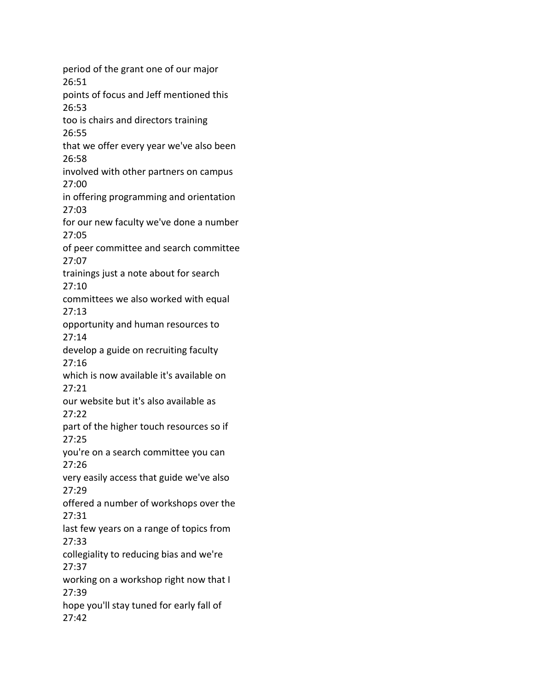period of the grant one of our major 26:51 points of focus and Jeff mentioned this 26:53 too is chairs and directors training 26:55 that we offer every year we've also been 26:58 involved with other partners on campus 27:00 in offering programming and orientation 27:03 for our new faculty we've done a number 27:05 of peer committee and search committee 27:07 trainings just a note about for search 27:10 committees we also worked with equal 27:13 opportunity and human resources to 27:14 develop a guide on recruiting faculty 27:16 which is now available it's available on 27:21 our website but it's also available as 27:22 part of the higher touch resources so if 27:25 you're on a search committee you can 27:26 very easily access that guide we've also 27:29 offered a number of workshops over the 27:31 last few years on a range of topics from 27:33 collegiality to reducing bias and we're 27:37 working on a workshop right now that I 27:39 hope you'll stay tuned for early fall of 27:42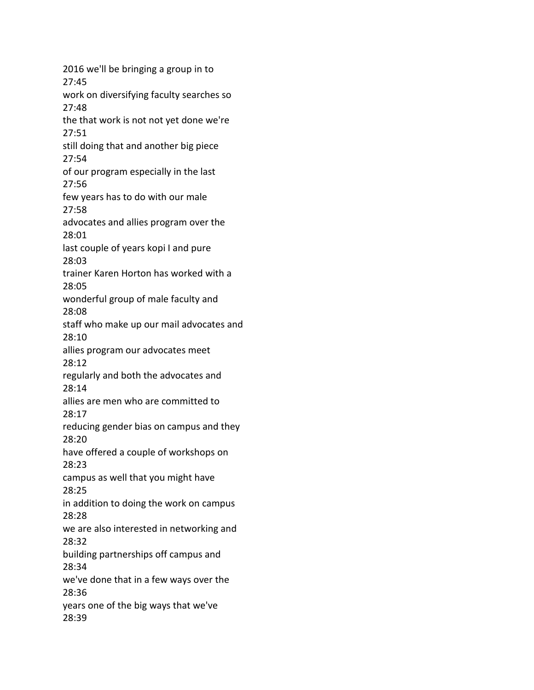2016 we'll be bringing a group in to 27:45 work on diversifying faculty searches so 27:48 the that work is not not yet done we're 27:51 still doing that and another big piece 27:54 of our program especially in the last 27:56 few years has to do with our male 27:58 advocates and allies program over the 28:01 last couple of years kopi I and pure 28:03 trainer Karen Horton has worked with a 28:05 wonderful group of male faculty and 28:08 staff who make up our mail advocates and 28:10 allies program our advocates meet 28:12 regularly and both the advocates and 28:14 allies are men who are committed to 28:17 reducing gender bias on campus and they 28:20 have offered a couple of workshops on 28:23 campus as well that you might have 28:25 in addition to doing the work on campus 28:28 we are also interested in networking and 28:32 building partnerships off campus and 28:34 we've done that in a few ways over the 28:36 years one of the big ways that we've 28:39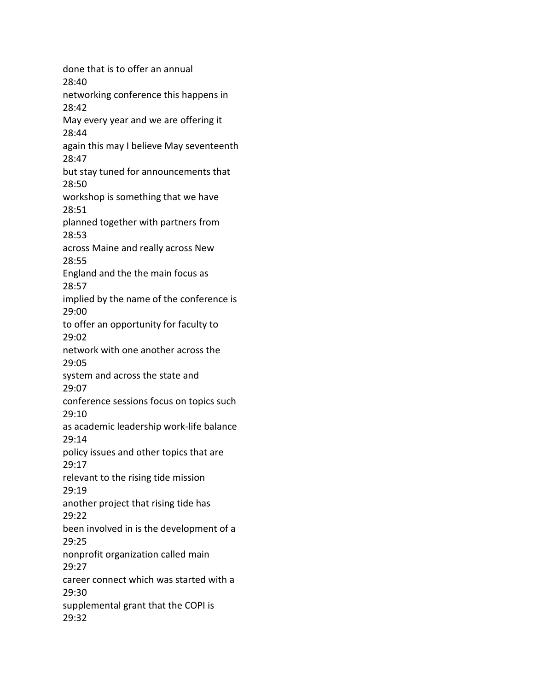done that is to offer an annual 28:40 networking conference this happens in 28:42 May every year and we are offering it 28:44 again this may I believe May seventeenth 28:47 but stay tuned for announcements that 28:50 workshop is something that we have 28:51 planned together with partners from 28:53 across Maine and really across New 28:55 England and the the main focus as 28:57 implied by the name of the conference is 29:00 to offer an opportunity for faculty to 29:02 network with one another across the 29:05 system and across the state and 29:07 conference sessions focus on topics such 29:10 as academic leadership work-life balance 29:14 policy issues and other topics that are 29:17 relevant to the rising tide mission 29:19 another project that rising tide has 29:22 been involved in is the development of a 29:25 nonprofit organization called main 29:27 career connect which was started with a 29:30 supplemental grant that the COPI is 29:32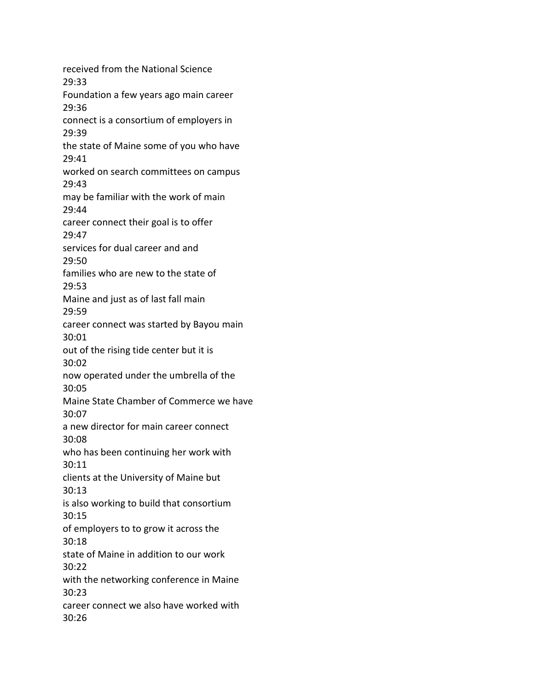received from the National Science 29:33 Foundation a few years ago main career 29:36 connect is a consortium of employers in 29:39 the state of Maine some of you who have 29:41 worked on search committees on campus 29:43 may be familiar with the work of main 29:44 career connect their goal is to offer 29:47 services for dual career and and 29:50 families who are new to the state of 29:53 Maine and just as of last fall main 29:59 career connect was started by Bayou main 30:01 out of the rising tide center but it is 30:02 now operated under the umbrella of the 30:05 Maine State Chamber of Commerce we have 30:07 a new director for main career connect 30:08 who has been continuing her work with 30:11 clients at the University of Maine but 30:13 is also working to build that consortium 30:15 of employers to to grow it across the 30:18 state of Maine in addition to our work 30:22 with the networking conference in Maine 30:23 career connect we also have worked with 30:26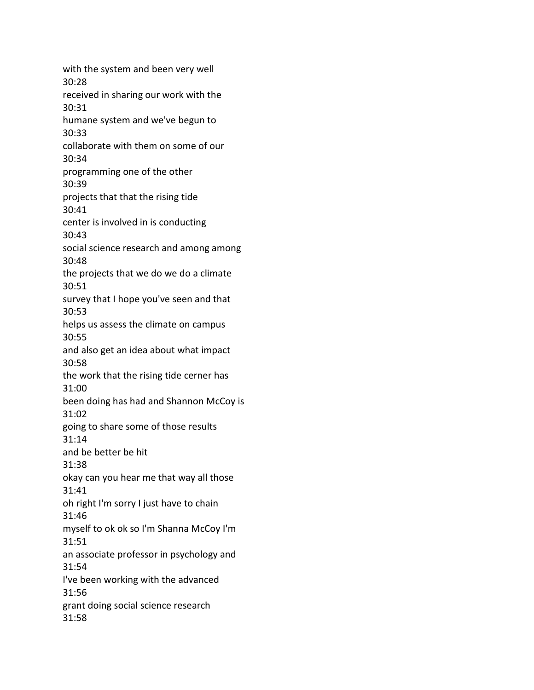with the system and been very well 30:28 received in sharing our work with the 30:31 humane system and we've begun to 30:33 collaborate with them on some of our 30:34 programming one of the other 30:39 projects that that the rising tide 30:41 center is involved in is conducting 30:43 social science research and among among 30:48 the projects that we do we do a climate 30:51 survey that I hope you've seen and that 30:53 helps us assess the climate on campus 30:55 and also get an idea about what impact 30:58 the work that the rising tide cerner has 31:00 been doing has had and Shannon McCoy is 31:02 going to share some of those results 31:14 and be better be hit 31:38 okay can you hear me that way all those 31:41 oh right I'm sorry I just have to chain 31:46 myself to ok ok so I'm Shanna McCoy I'm 31:51 an associate professor in psychology and 31:54 I've been working with the advanced 31:56 grant doing social science research 31:58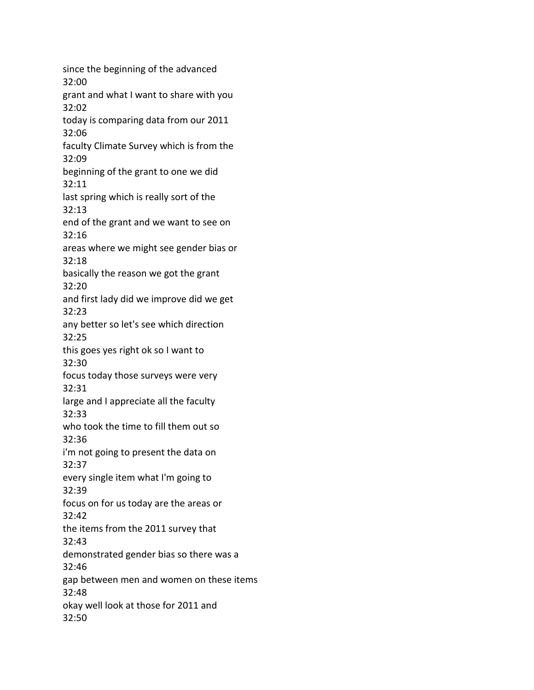since the beginning of the advanced 32:00 grant and what I want to share with you 32:02 today is comparing data from our 2011 32:06 faculty Climate Survey which is from the 32:09 beginning of the grant to one we did 32:11 last spring which is really sort of the 32:13 end of the grant and we want to see on 32:16 areas where we might see gender bias or 32:18 basically the reason we got the grant 32:20 and first lady did we improve did we get 32:23 any better so let's see which direction 32:25 this goes yes right ok so I want to 32:30 focus today those surveys were very 32:31 large and I appreciate all the faculty 32:33 who took the time to fill them out so 32:36 i'm not going to present the data on 32:37 every single item what I'm going to 32:39 focus on for us today are the areas or 32:42 the items from the 2011 survey that 32:43 demonstrated gender bias so there was a 32:46 gap between men and women on these items 32:48 okay well look at those for 2011 and 32:50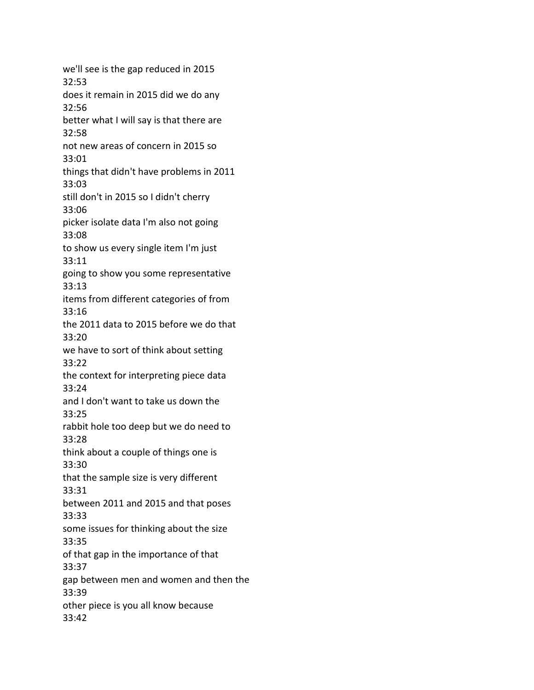we'll see is the gap reduced in 2015 32:53 does it remain in 2015 did we do any 32:56 better what I will say is that there are 32:58 not new areas of concern in 2015 so 33:01 things that didn't have problems in 2011 33:03 still don't in 2015 so I didn't cherry 33:06 picker isolate data I'm also not going 33:08 to show us every single item I'm just 33:11 going to show you some representative 33:13 items from different categories of from 33:16 the 2011 data to 2015 before we do that 33:20 we have to sort of think about setting 33:22 the context for interpreting piece data 33:24 and I don't want to take us down the 33:25 rabbit hole too deep but we do need to 33:28 think about a couple of things one is 33:30 that the sample size is very different 33:31 between 2011 and 2015 and that poses 33:33 some issues for thinking about the size 33:35 of that gap in the importance of that 33:37 gap between men and women and then the 33:39 other piece is you all know because 33:42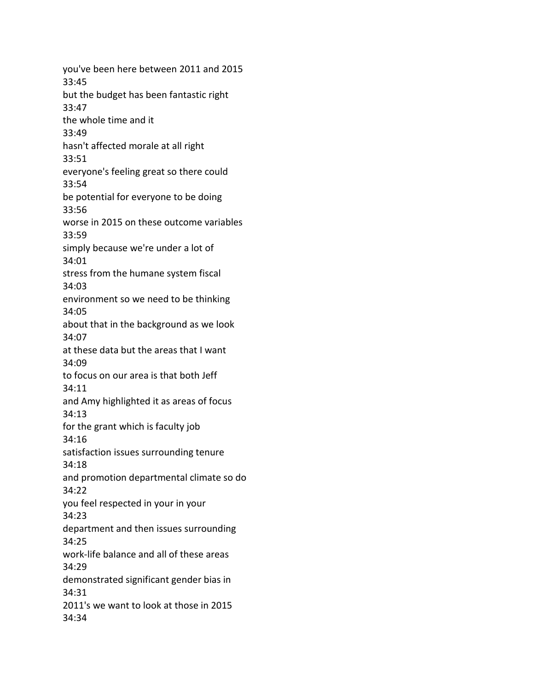you've been here between 2011 and 2015 33:45 but the budget has been fantastic right 33:47 the whole time and it 33:49 hasn't affected morale at all right 33:51 everyone's feeling great so there could 33:54 be potential for everyone to be doing 33:56 worse in 2015 on these outcome variables 33:59 simply because we're under a lot of 34:01 stress from the humane system fiscal 34:03 environment so we need to be thinking 34:05 about that in the background as we look 34:07 at these data but the areas that I want 34:09 to focus on our area is that both Jeff 34:11 and Amy highlighted it as areas of focus 34:13 for the grant which is faculty job 34:16 satisfaction issues surrounding tenure 34:18 and promotion departmental climate so do 34:22 you feel respected in your in your 34:23 department and then issues surrounding 34:25 work-life balance and all of these areas 34:29 demonstrated significant gender bias in 34:31 2011's we want to look at those in 2015 34:34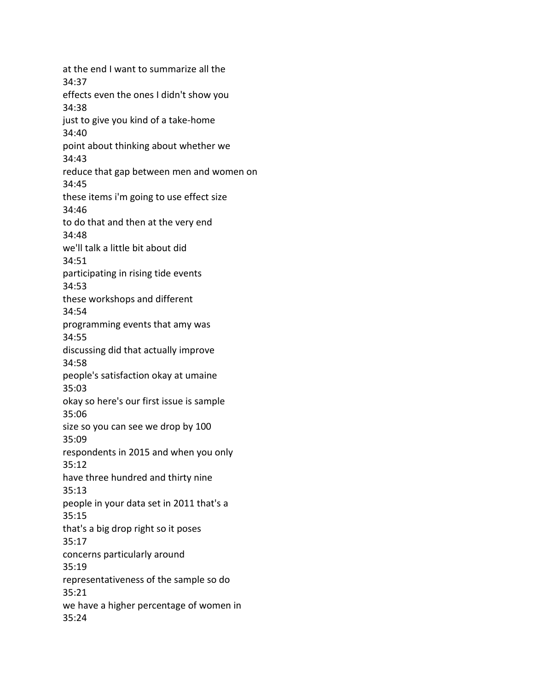at the end I want to summarize all the 34:37 effects even the ones I didn't show you 34:38 just to give you kind of a take-home 34:40 point about thinking about whether we 34:43 reduce that gap between men and women on 34:45 these items i'm going to use effect size 34:46 to do that and then at the very end 34:48 we'll talk a little bit about did 34:51 participating in rising tide events 34:53 these workshops and different 34:54 programming events that amy was 34:55 discussing did that actually improve 34:58 people's satisfaction okay at umaine 35:03 okay so here's our first issue is sample 35:06 size so you can see we drop by 100 35:09 respondents in 2015 and when you only 35:12 have three hundred and thirty nine 35:13 people in your data set in 2011 that's a 35:15 that's a big drop right so it poses 35:17 concerns particularly around 35:19 representativeness of the sample so do 35:21 we have a higher percentage of women in 35:24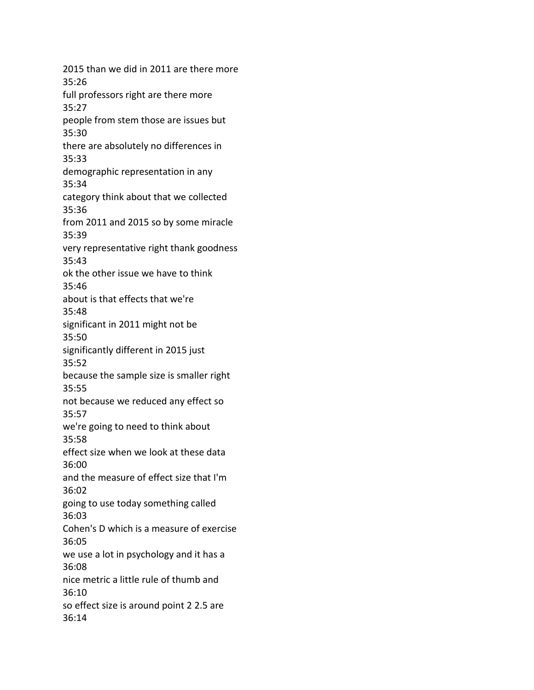2015 than we did in 2011 are there more 35:26 full professors right are there more 35:27 people from stem those are issues but 35:30 there are absolutely no differences in 35:33 demographic representation in any 35:34 category think about that we collected 35:36 from 2011 and 2015 so by some miracle 35:39 very representative right thank goodness 35:43 ok the other issue we have to think 35:46 about is that effects that we're 35:48 significant in 2011 might not be 35:50 significantly different in 2015 just 35:52 because the sample size is smaller right 35:55 not because we reduced any effect so 35:57 we're going to need to think about 35:58 effect size when we look at these data 36:00 and the measure of effect size that I'm 36:02 going to use today something called 36:03 Cohen's D which is a measure of exercise 36:05 we use a lot in psychology and it has a 36:08 nice metric a little rule of thumb and 36:10 so effect size is around point 2 2.5 are 36:14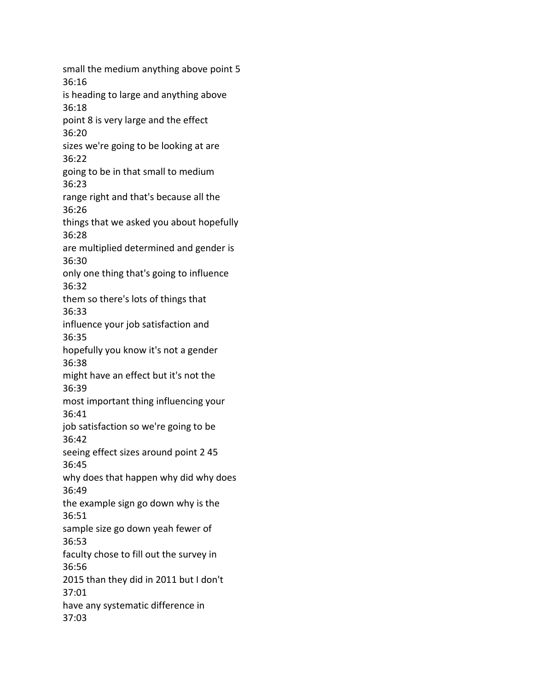small the medium anything above point 5 36:16 is heading to large and anything above 36:18 point 8 is very large and the effect 36:20 sizes we're going to be looking at are 36:22 going to be in that small to medium 36:23 range right and that's because all the 36:26 things that we asked you about hopefully 36:28 are multiplied determined and gender is 36:30 only one thing that's going to influence 36:32 them so there's lots of things that 36:33 influence your job satisfaction and 36:35 hopefully you know it's not a gender 36:38 might have an effect but it's not the 36:39 most important thing influencing your 36:41 job satisfaction so we're going to be 36:42 seeing effect sizes around point 2 45 36:45 why does that happen why did why does 36:49 the example sign go down why is the 36:51 sample size go down yeah fewer of 36:53 faculty chose to fill out the survey in 36:56 2015 than they did in 2011 but I don't 37:01 have any systematic difference in 37:03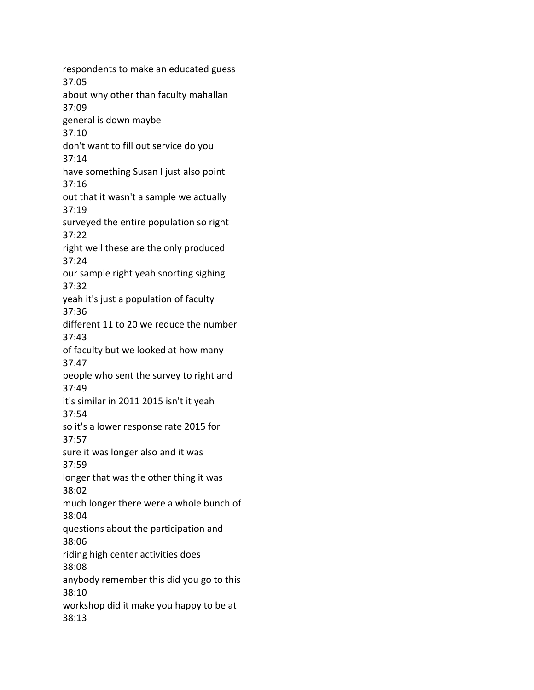respondents to make an educated guess 37:05 about why other than faculty mahallan 37:09 general is down maybe 37:10 don't want to fill out service do you 37:14 have something Susan I just also point 37:16 out that it wasn't a sample we actually 37:19 surveyed the entire population so right 37:22 right well these are the only produced 37:24 our sample right yeah snorting sighing 37:32 yeah it's just a population of faculty 37:36 different 11 to 20 we reduce the number 37:43 of faculty but we looked at how many 37:47 people who sent the survey to right and 37:49 it's similar in 2011 2015 isn't it yeah 37:54 so it's a lower response rate 2015 for 37:57 sure it was longer also and it was 37:59 longer that was the other thing it was 38:02 much longer there were a whole bunch of 38:04 questions about the participation and 38:06 riding high center activities does 38:08 anybody remember this did you go to this 38:10 workshop did it make you happy to be at 38:13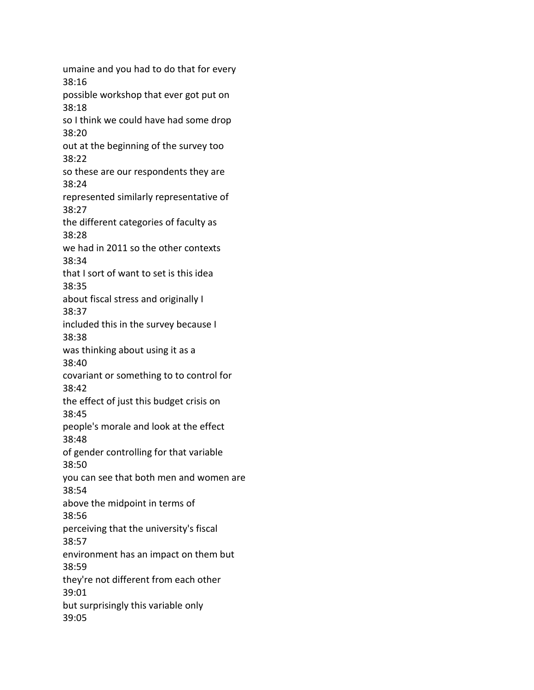umaine and you had to do that for every 38:16 possible workshop that ever got put on 38:18 so I think we could have had some drop 38:20 out at the beginning of the survey too 38:22 so these are our respondents they are 38:24 represented similarly representative of 38:27 the different categories of faculty as 38:28 we had in 2011 so the other contexts 38:34 that I sort of want to set is this idea 38:35 about fiscal stress and originally I 38:37 included this in the survey because I 38:38 was thinking about using it as a 38:40 covariant or something to to control for 38:42 the effect of just this budget crisis on 38:45 people's morale and look at the effect 38:48 of gender controlling for that variable 38:50 you can see that both men and women are 38:54 above the midpoint in terms of 38:56 perceiving that the university's fiscal 38:57 environment has an impact on them but 38:59 they're not different from each other 39:01 but surprisingly this variable only 39:05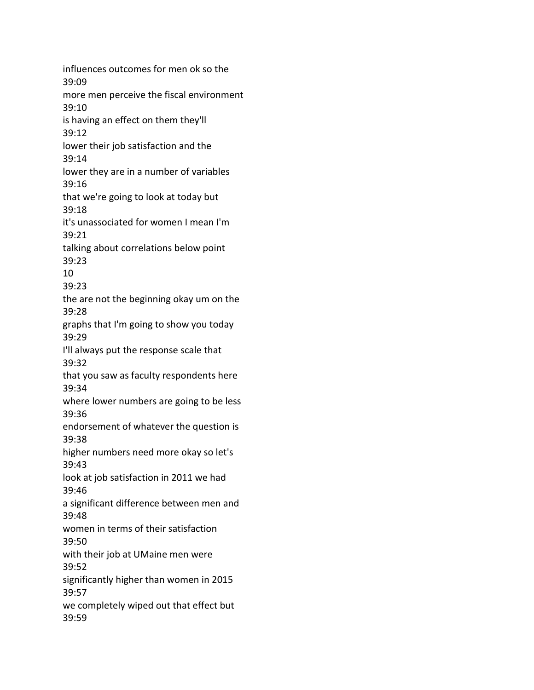influences outcomes for men ok so the 39:09 more men perceive the fiscal environment 39:10 is having an effect on them they'll 39:12 lower their job satisfaction and the 39:14 lower they are in a number of variables 39:16 that we're going to look at today but 39:18 it's unassociated for women I mean I'm 39:21 talking about correlations below point 39:23 10 39:23 the are not the beginning okay um on the 39:28 graphs that I'm going to show you today 39:29 I'll always put the response scale that 39:32 that you saw as faculty respondents here 39:34 where lower numbers are going to be less 39:36 endorsement of whatever the question is 39:38 higher numbers need more okay so let's 39:43 look at job satisfaction in 2011 we had 39:46 a significant difference between men and 39:48 women in terms of their satisfaction 39:50 with their job at UMaine men were 39:52 significantly higher than women in 2015 39:57 we completely wiped out that effect but 39:59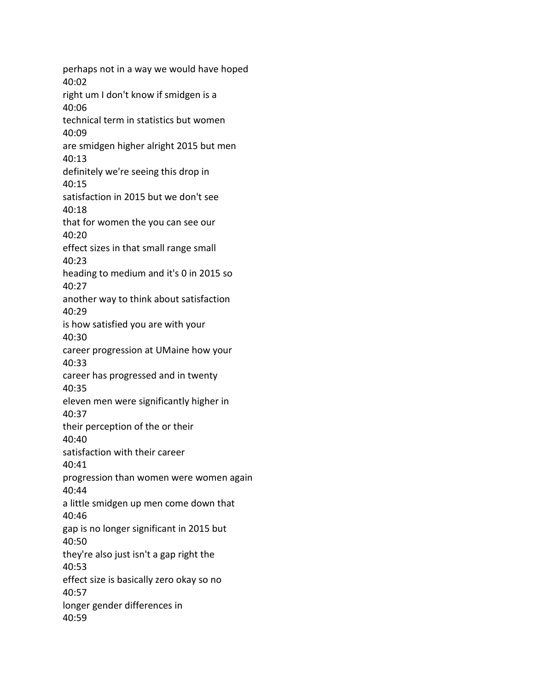perhaps not in a way we would have hoped 40:02 right um I don't know if smidgen is a 40:06 technical term in statistics but women 40:09 are smidgen higher alright 2015 but men 40:13 definitely we're seeing this drop in 40:15 satisfaction in 2015 but we don't see 40:18 that for women the you can see our 40:20 effect sizes in that small range small 40:23 heading to medium and it's 0 in 2015 so 40:27 another way to think about satisfaction 40:29 is how satisfied you are with your 40:30 career progression at UMaine how your 40:33 career has progressed and in twenty 40:35 eleven men were significantly higher in 40:37 their perception of the or their 40:40 satisfaction with their career 40:41 progression than women were women again 40:44 a little smidgen up men come down that 40:46 gap is no longer significant in 2015 but 40:50 they're also just isn't a gap right the 40:53 effect size is basically zero okay so no 40:57 longer gender differences in 40:59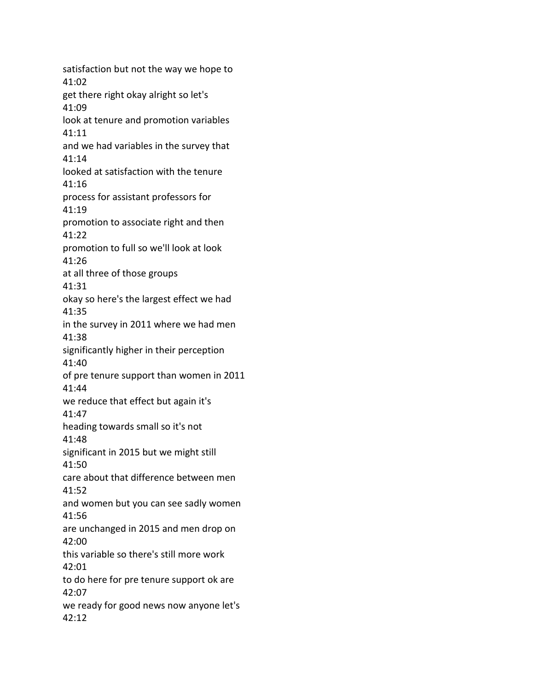satisfaction but not the way we hope to 41:02 get there right okay alright so let's 41:09 look at tenure and promotion variables 41:11 and we had variables in the survey that 41:14 looked at satisfaction with the tenure 41:16 process for assistant professors for 41:19 promotion to associate right and then 41:22 promotion to full so we'll look at look 41:26 at all three of those groups 41:31 okay so here's the largest effect we had 41:35 in the survey in 2011 where we had men 41:38 significantly higher in their perception 41:40 of pre tenure support than women in 2011 41:44 we reduce that effect but again it's 41:47 heading towards small so it's not 41:48 significant in 2015 but we might still 41:50 care about that difference between men 41:52 and women but you can see sadly women 41:56 are unchanged in 2015 and men drop on 42:00 this variable so there's still more work 42:01 to do here for pre tenure support ok are 42:07 we ready for good news now anyone let's 42:12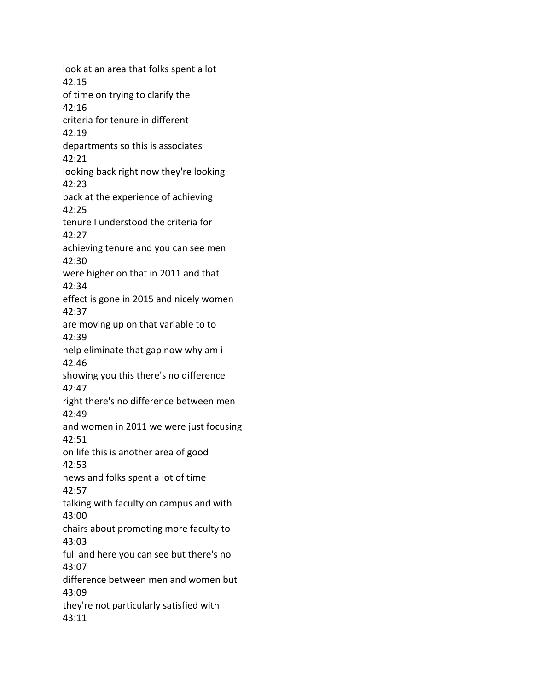look at an area that folks spent a lot 42:15 of time on trying to clarify the 42:16 criteria for tenure in different 42:19 departments so this is associates 42:21 looking back right now they're looking 42:23 back at the experience of achieving 42:25 tenure I understood the criteria for 42:27 achieving tenure and you can see men 42:30 were higher on that in 2011 and that 42:34 effect is gone in 2015 and nicely women 42:37 are moving up on that variable to to 42:39 help eliminate that gap now why am i 42:46 showing you this there's no difference 42:47 right there's no difference between men 42:49 and women in 2011 we were just focusing 42:51 on life this is another area of good 42:53 news and folks spent a lot of time 42:57 talking with faculty on campus and with 43:00 chairs about promoting more faculty to 43:03 full and here you can see but there's no 43:07 difference between men and women but 43:09 they're not particularly satisfied with 43:11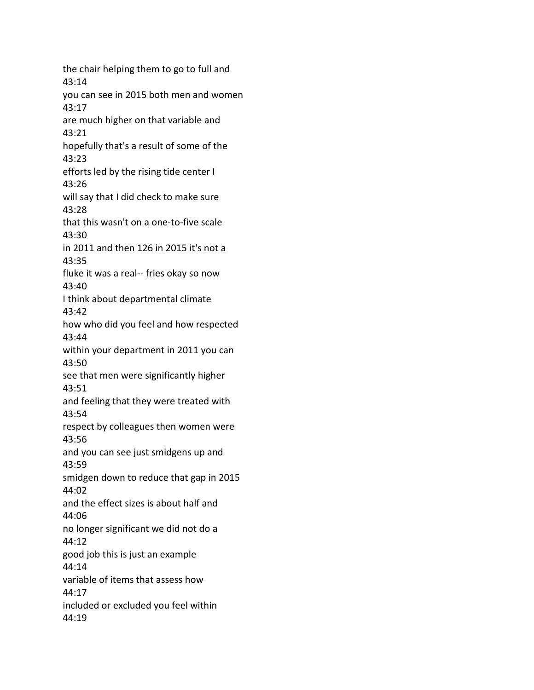the chair helping them to go to full and 43:14 you can see in 2015 both men and women 43:17 are much higher on that variable and 43:21 hopefully that's a result of some of the 43:23 efforts led by the rising tide center I 43:26 will say that I did check to make sure 43:28 that this wasn't on a one-to-five scale 43:30 in 2011 and then 126 in 2015 it's not a 43:35 fluke it was a real-- fries okay so now 43:40 I think about departmental climate 43:42 how who did you feel and how respected 43:44 within your department in 2011 you can 43:50 see that men were significantly higher 43:51 and feeling that they were treated with 43:54 respect by colleagues then women were 43:56 and you can see just smidgens up and 43:59 smidgen down to reduce that gap in 2015 44:02 and the effect sizes is about half and 44:06 no longer significant we did not do a 44:12 good job this is just an example 44:14 variable of items that assess how 44:17 included or excluded you feel within 44:19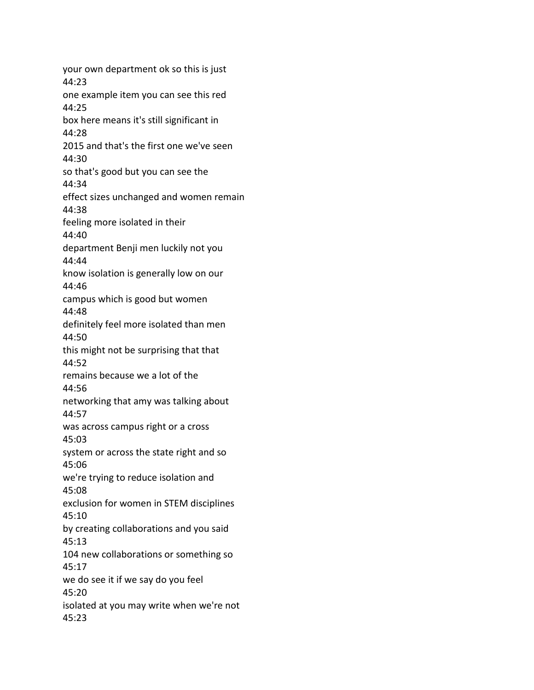your own department ok so this is just 44:23 one example item you can see this red 44:25 box here means it's still significant in 44:28 2015 and that's the first one we've seen 44:30 so that's good but you can see the 44:34 effect sizes unchanged and women remain 44:38 feeling more isolated in their 44:40 department Benji men luckily not you 44:44 know isolation is generally low on our 44:46 campus which is good but women 44:48 definitely feel more isolated than men 44:50 this might not be surprising that that 44:52 remains because we a lot of the 44:56 networking that amy was talking about 44:57 was across campus right or a cross 45:03 system or across the state right and so 45:06 we're trying to reduce isolation and 45:08 exclusion for women in STEM disciplines 45:10 by creating collaborations and you said 45:13 104 new collaborations or something so 45:17 we do see it if we say do you feel 45:20 isolated at you may write when we're not 45:23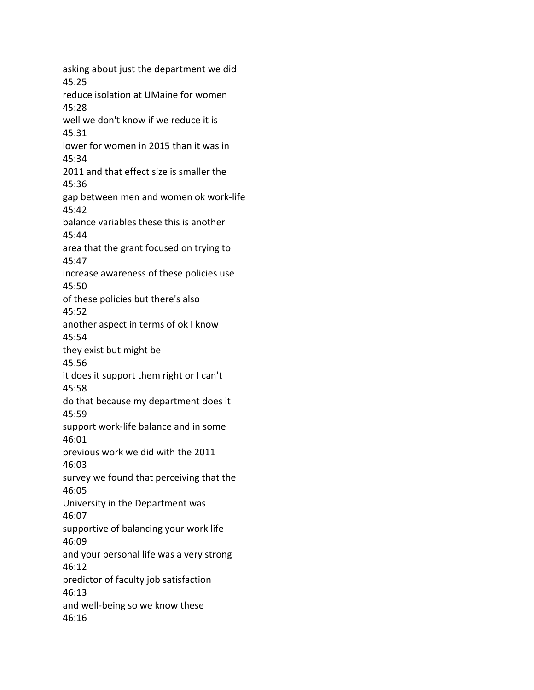asking about just the department we did 45:25 reduce isolation at UMaine for women 45:28 well we don't know if we reduce it is 45:31 lower for women in 2015 than it was in 45:34 2011 and that effect size is smaller the 45:36 gap between men and women ok work-life 45:42 balance variables these this is another 45:44 area that the grant focused on trying to 45:47 increase awareness of these policies use 45:50 of these policies but there's also 45:52 another aspect in terms of ok I know 45:54 they exist but might be 45:56 it does it support them right or I can't 45:58 do that because my department does it 45:59 support work-life balance and in some 46:01 previous work we did with the 2011 46:03 survey we found that perceiving that the 46:05 University in the Department was 46:07 supportive of balancing your work life 46:09 and your personal life was a very strong 46:12 predictor of faculty job satisfaction 46:13 and well-being so we know these 46:16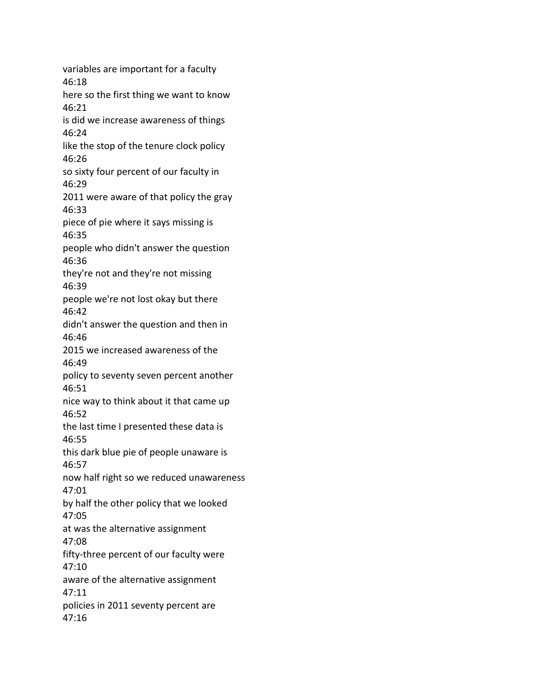variables are important for a faculty 46:18 here so the first thing we want to know 46:21 is did we increase awareness of things 46:24 like the stop of the tenure clock policy 46:26 so sixty four percent of our faculty in 46:29 2011 were aware of that policy the gray 46:33 piece of pie where it says missing is 46:35 people who didn't answer the question 46:36 they're not and they're not missing 46:39 people we're not lost okay but there 46:42 didn't answer the question and then in 46:46 2015 we increased awareness of the 46:49 policy to seventy seven percent another 46:51 nice way to think about it that came up 46:52 the last time I presented these data is 46:55 this dark blue pie of people unaware is 46:57 now half right so we reduced unawareness 47:01 by half the other policy that we looked 47:05 at was the alternative assignment 47:08 fifty-three percent of our faculty were 47:10 aware of the alternative assignment 47:11 policies in 2011 seventy percent are 47:16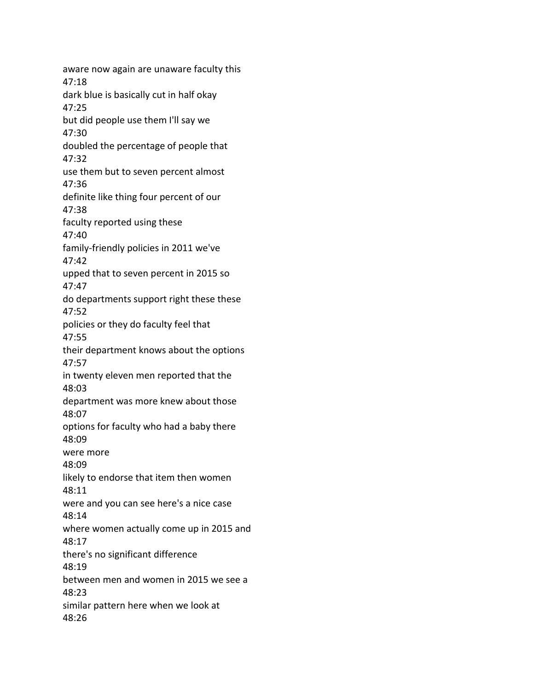aware now again are unaware faculty this 47:18 dark blue is basically cut in half okay 47:25 but did people use them I'll say we 47:30 doubled the percentage of people that 47:32 use them but to seven percent almost 47:36 definite like thing four percent of our 47:38 faculty reported using these 47:40 family-friendly policies in 2011 we've 47:42 upped that to seven percent in 2015 so 47:47 do departments support right these these 47:52 policies or they do faculty feel that 47:55 their department knows about the options 47:57 in twenty eleven men reported that the 48:03 department was more knew about those 48:07 options for faculty who had a baby there 48:09 were more 48:09 likely to endorse that item then women 48:11 were and you can see here's a nice case 48:14 where women actually come up in 2015 and 48:17 there's no significant difference 48:19 between men and women in 2015 we see a 48:23 similar pattern here when we look at 48:26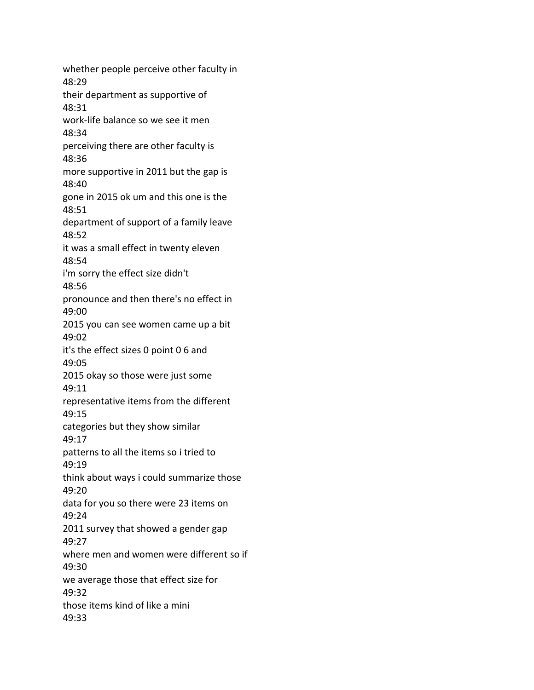whether people perceive other faculty in 48:29 their department as supportive of 48:31 work-life balance so we see it men 48:34 perceiving there are other faculty is 48:36 more supportive in 2011 but the gap is 48:40 gone in 2015 ok um and this one is the 48:51 department of support of a family leave 48:52 it was a small effect in twenty eleven 48:54 i'm sorry the effect size didn't 48:56 pronounce and then there's no effect in 49:00 2015 you can see women came up a bit 49:02 it's the effect sizes 0 point 0 6 and 49:05 2015 okay so those were just some 49:11 representative items from the different 49:15 categories but they show similar 49:17 patterns to all the items so i tried to 49:19 think about ways i could summarize those 49:20 data for you so there were 23 items on 49:24 2011 survey that showed a gender gap 49:27 where men and women were different so if 49:30 we average those that effect size for 49:32 those items kind of like a mini 49:33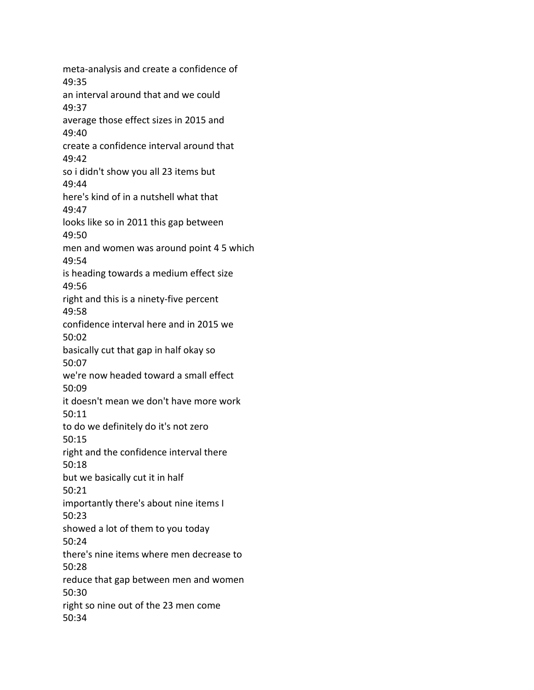meta-analysis and create a confidence of 49:35 an interval around that and we could 49:37 average those effect sizes in 2015 and 49:40 create a confidence interval around that 49:42 so i didn't show you all 23 items but 49:44 here's kind of in a nutshell what that 49:47 looks like so in 2011 this gap between 49:50 men and women was around point 4 5 which 49:54 is heading towards a medium effect size 49:56 right and this is a ninety-five percent 49:58 confidence interval here and in 2015 we 50:02 basically cut that gap in half okay so 50:07 we're now headed toward a small effect 50:09 it doesn't mean we don't have more work 50:11 to do we definitely do it's not zero 50:15 right and the confidence interval there 50:18 but we basically cut it in half 50:21 importantly there's about nine items I 50:23 showed a lot of them to you today 50:24 there's nine items where men decrease to 50:28 reduce that gap between men and women 50:30 right so nine out of the 23 men come 50:34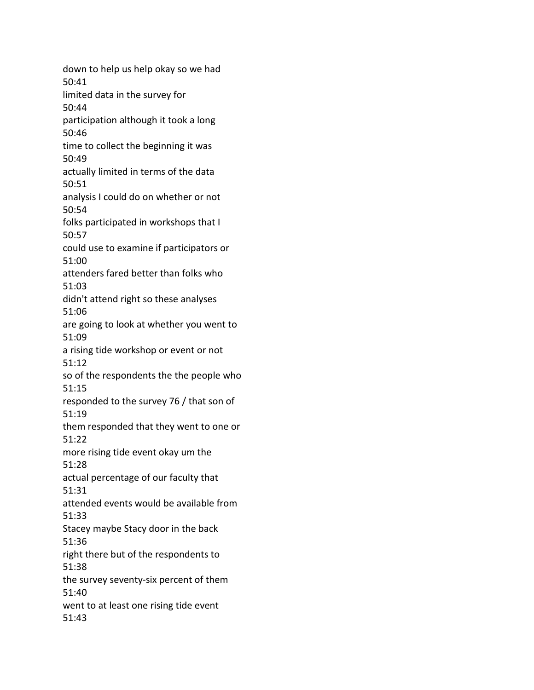down to help us help okay so we had 50:41 limited data in the survey for 50:44 participation although it took a long 50:46 time to collect the beginning it was 50:49 actually limited in terms of the data 50:51 analysis I could do on whether or not 50:54 folks participated in workshops that I 50:57 could use to examine if participators or 51:00 attenders fared better than folks who 51:03 didn't attend right so these analyses 51:06 are going to look at whether you went to 51:09 a rising tide workshop or event or not 51:12 so of the respondents the the people who 51:15 responded to the survey 76 / that son of 51:19 them responded that they went to one or 51:22 more rising tide event okay um the 51:28 actual percentage of our faculty that 51:31 attended events would be available from 51:33 Stacey maybe Stacy door in the back 51:36 right there but of the respondents to 51:38 the survey seventy-six percent of them 51:40 went to at least one rising tide event 51:43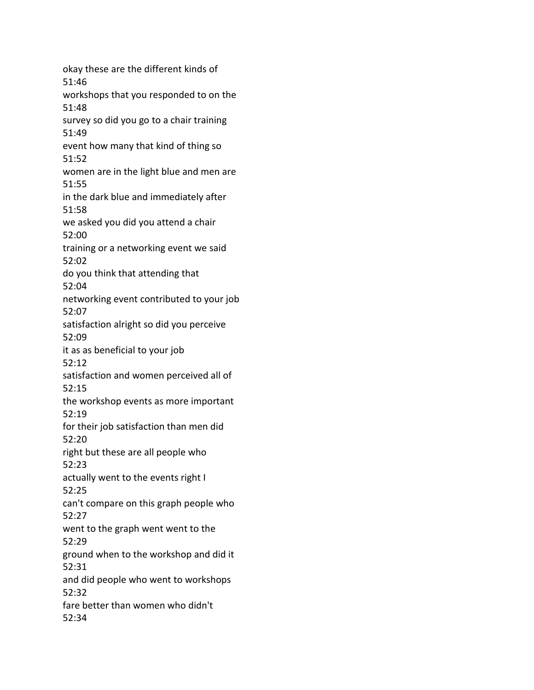okay these are the different kinds of 51:46 workshops that you responded to on the 51:48 survey so did you go to a chair training 51:49 event how many that kind of thing so 51:52 women are in the light blue and men are 51:55 in the dark blue and immediately after 51:58 we asked you did you attend a chair 52:00 training or a networking event we said 52:02 do you think that attending that 52:04 networking event contributed to your job 52:07 satisfaction alright so did you perceive 52:09 it as as beneficial to your job 52:12 satisfaction and women perceived all of 52:15 the workshop events as more important 52:19 for their job satisfaction than men did 52:20 right but these are all people who 52:23 actually went to the events right I 52:25 can't compare on this graph people who 52:27 went to the graph went went to the 52:29 ground when to the workshop and did it 52:31 and did people who went to workshops 52:32 fare better than women who didn't 52:34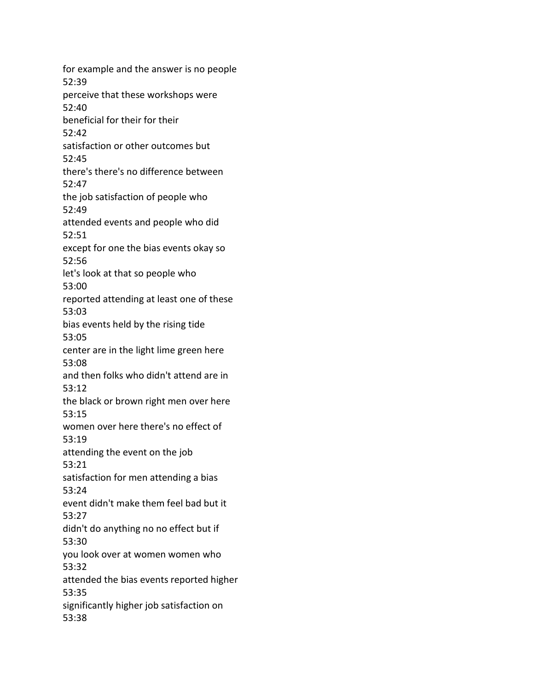for example and the answer is no people 52:39 perceive that these workshops were 52:40 beneficial for their for their 52:42 satisfaction or other outcomes but 52:45 there's there's no difference between 52:47 the job satisfaction of people who 52:49 attended events and people who did 52:51 except for one the bias events okay so 52:56 let's look at that so people who 53:00 reported attending at least one of these 53:03 bias events held by the rising tide 53:05 center are in the light lime green here 53:08 and then folks who didn't attend are in 53:12 the black or brown right men over here 53:15 women over here there's no effect of 53:19 attending the event on the job 53:21 satisfaction for men attending a bias 53:24 event didn't make them feel bad but it 53:27 didn't do anything no no effect but if 53:30 you look over at women women who 53:32 attended the bias events reported higher 53:35 significantly higher job satisfaction on 53:38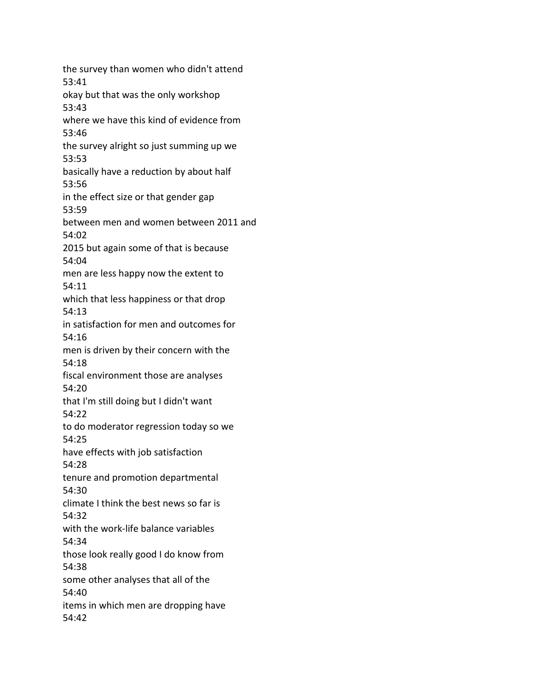the survey than women who didn't attend 53:41 okay but that was the only workshop 53:43 where we have this kind of evidence from 53:46 the survey alright so just summing up we 53:53 basically have a reduction by about half 53:56 in the effect size or that gender gap 53:59 between men and women between 2011 and 54:02 2015 but again some of that is because 54:04 men are less happy now the extent to 54:11 which that less happiness or that drop 54:13 in satisfaction for men and outcomes for 54:16 men is driven by their concern with the 54:18 fiscal environment those are analyses 54:20 that I'm still doing but I didn't want 54:22 to do moderator regression today so we 54:25 have effects with job satisfaction 54:28 tenure and promotion departmental 54:30 climate I think the best news so far is 54:32 with the work-life balance variables 54:34 those look really good I do know from 54:38 some other analyses that all of the 54:40 items in which men are dropping have 54:42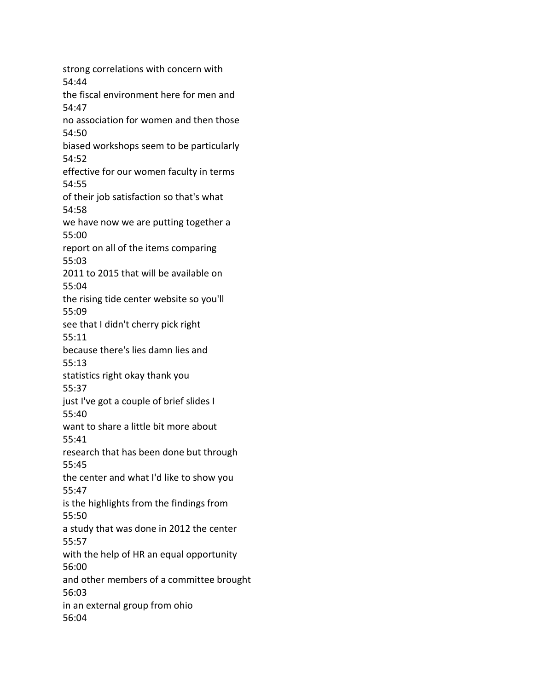strong correlations with concern with 54:44 the fiscal environment here for men and 54:47 no association for women and then those 54:50 biased workshops seem to be particularly 54:52 effective for our women faculty in terms 54:55 of their job satisfaction so that's what 54:58 we have now we are putting together a 55:00 report on all of the items comparing 55:03 2011 to 2015 that will be available on 55:04 the rising tide center website so you'll 55:09 see that I didn't cherry pick right 55:11 because there's lies damn lies and 55:13 statistics right okay thank you 55:37 just I've got a couple of brief slides I 55:40 want to share a little bit more about 55:41 research that has been done but through 55:45 the center and what I'd like to show you 55:47 is the highlights from the findings from 55:50 a study that was done in 2012 the center 55:57 with the help of HR an equal opportunity 56:00 and other members of a committee brought 56:03 in an external group from ohio 56:04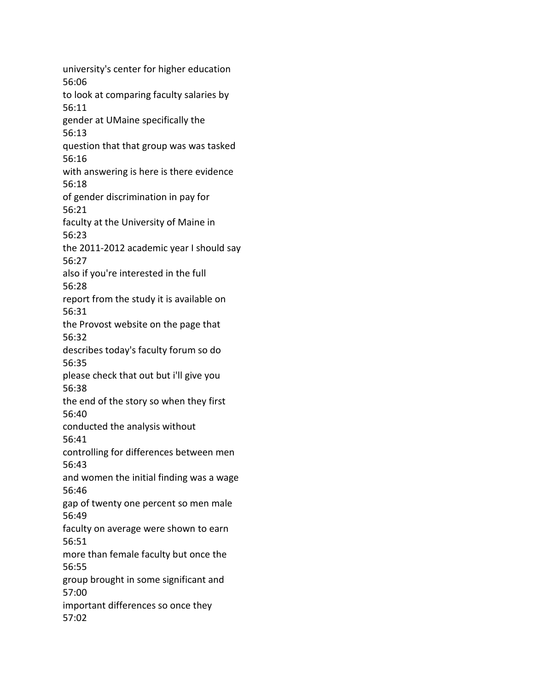university's center for higher education 56:06 to look at comparing faculty salaries by 56:11 gender at UMaine specifically the 56:13 question that that group was was tasked 56:16 with answering is here is there evidence 56:18 of gender discrimination in pay for 56:21 faculty at the University of Maine in 56:23 the 2011-2012 academic year I should say 56:27 also if you're interested in the full 56:28 report from the study it is available on 56:31 the Provost website on the page that 56:32 describes today's faculty forum so do 56:35 please check that out but i'll give you 56:38 the end of the story so when they first 56:40 conducted the analysis without 56:41 controlling for differences between men 56:43 and women the initial finding was a wage 56:46 gap of twenty one percent so men male 56:49 faculty on average were shown to earn 56:51 more than female faculty but once the 56:55 group brought in some significant and 57:00 important differences so once they 57:02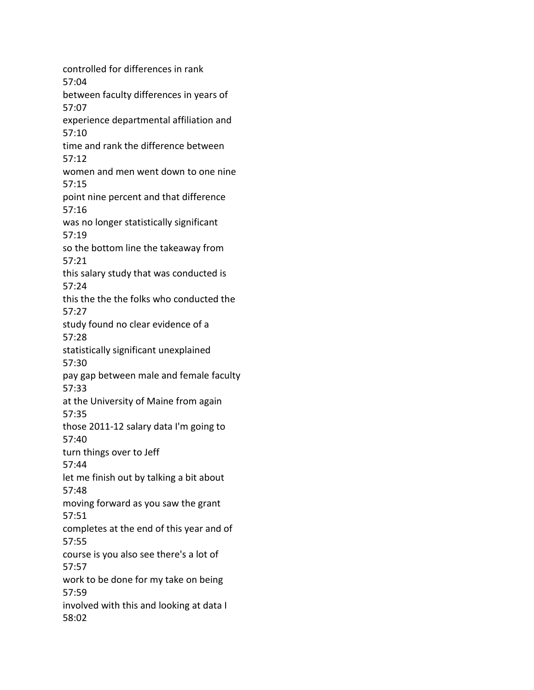controlled for differences in rank 57:04 between faculty differences in years of 57:07 experience departmental affiliation and 57:10 time and rank the difference between 57:12 women and men went down to one nine 57:15 point nine percent and that difference 57:16 was no longer statistically significant 57:19 so the bottom line the takeaway from 57:21 this salary study that was conducted is 57:24 this the the the folks who conducted the 57:27 study found no clear evidence of a 57:28 statistically significant unexplained 57:30 pay gap between male and female faculty 57:33 at the University of Maine from again 57:35 those 2011-12 salary data I'm going to 57:40 turn things over to Jeff 57:44 let me finish out by talking a bit about 57:48 moving forward as you saw the grant 57:51 completes at the end of this year and of 57:55 course is you also see there's a lot of 57:57 work to be done for my take on being 57:59 involved with this and looking at data I 58:02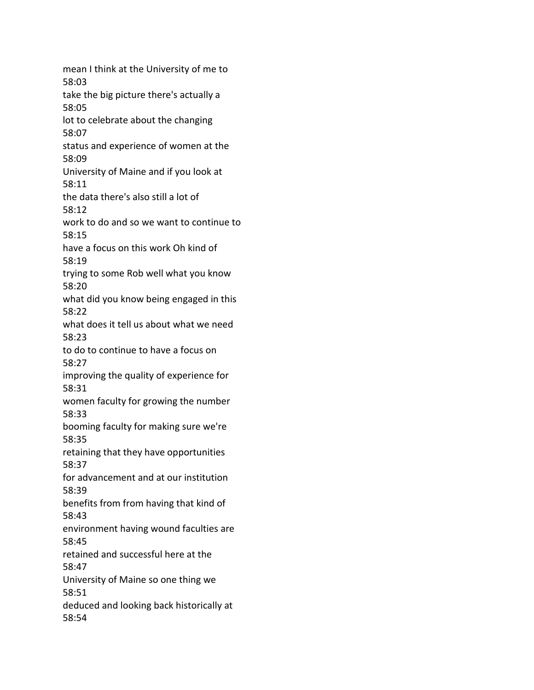mean I think at the University of me to 58:03 take the big picture there's actually a 58:05 lot to celebrate about the changing 58:07 status and experience of women at the 58:09 University of Maine and if you look at 58:11 the data there's also still a lot of 58:12 work to do and so we want to continue to 58:15 have a focus on this work Oh kind of 58:19 trying to some Rob well what you know 58:20 what did you know being engaged in this 58:22 what does it tell us about what we need 58:23 to do to continue to have a focus on 58:27 improving the quality of experience for 58:31 women faculty for growing the number 58:33 booming faculty for making sure we're 58:35 retaining that they have opportunities 58:37 for advancement and at our institution 58:39 benefits from from having that kind of 58:43 environment having wound faculties are 58:45 retained and successful here at the 58:47 University of Maine so one thing we 58:51 deduced and looking back historically at 58:54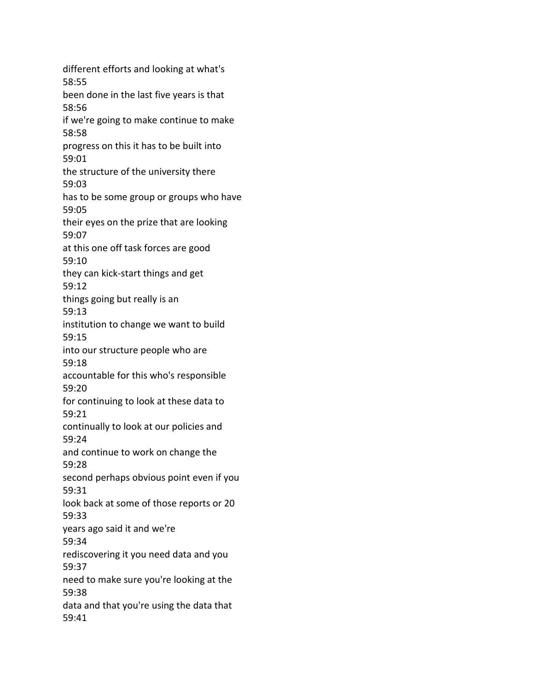different efforts and looking at what's 58:55 been done in the last five years is that 58:56 if we're going to make continue to make 58:58 progress on this it has to be built into 59:01 the structure of the university there 59:03 has to be some group or groups who have 59:05 their eyes on the prize that are looking 59:07 at this one off task forces are good 59:10 they can kick-start things and get 59:12 things going but really is an 59:13 institution to change we want to build 59:15 into our structure people who are 59:18 accountable for this who's responsible 59:20 for continuing to look at these data to 59:21 continually to look at our policies and 59:24 and continue to work on change the 59:28 second perhaps obvious point even if you 59:31 look back at some of those reports or 20 59:33 years ago said it and we're 59:34 rediscovering it you need data and you 59:37 need to make sure you're looking at the 59:38 data and that you're using the data that 59:41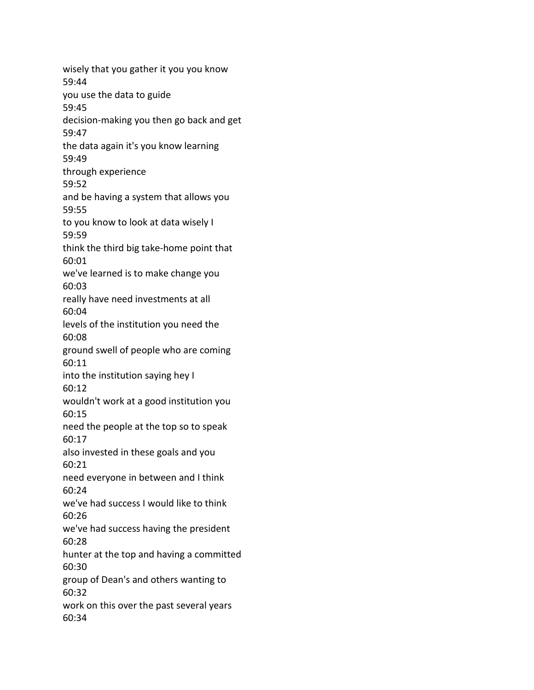wisely that you gather it you you know 59:44 you use the data to guide 59:45 decision-making you then go back and get 59:47 the data again it's you know learning 59:49 through experience 59:52 and be having a system that allows you 59:55 to you know to look at data wisely I 59:59 think the third big take-home point that 60:01 we've learned is to make change you 60:03 really have need investments at all 60:04 levels of the institution you need the 60:08 ground swell of people who are coming 60:11 into the institution saying hey I 60:12 wouldn't work at a good institution you 60:15 need the people at the top so to speak 60:17 also invested in these goals and you 60:21 need everyone in between and I think 60:24 we've had success I would like to think 60:26 we've had success having the president 60:28 hunter at the top and having a committed 60:30 group of Dean's and others wanting to 60:32 work on this over the past several years 60:34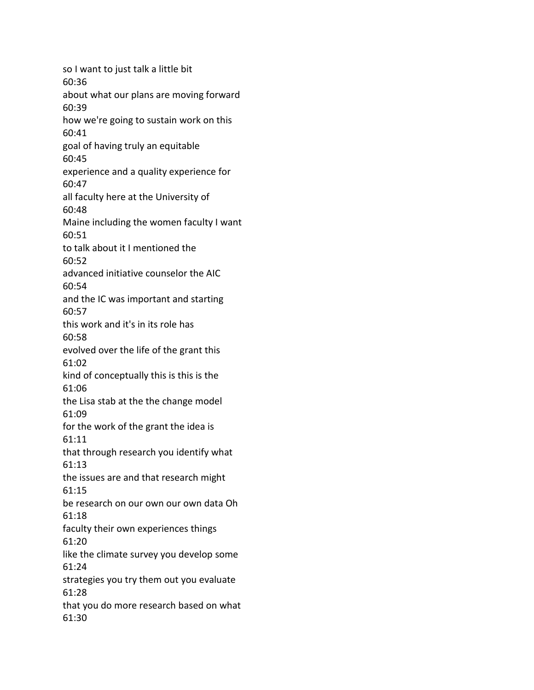so I want to just talk a little bit 60:36 about what our plans are moving forward 60:39 how we're going to sustain work on this 60:41 goal of having truly an equitable 60:45 experience and a quality experience for 60:47 all faculty here at the University of 60:48 Maine including the women faculty I want 60:51 to talk about it I mentioned the 60:52 advanced initiative counselor the AIC 60:54 and the IC was important and starting 60:57 this work and it's in its role has 60:58 evolved over the life of the grant this 61:02 kind of conceptually this is this is the 61:06 the Lisa stab at the the change model 61:09 for the work of the grant the idea is 61:11 that through research you identify what 61:13 the issues are and that research might 61:15 be research on our own our own data Oh 61:18 faculty their own experiences things 61:20 like the climate survey you develop some 61:24 strategies you try them out you evaluate 61:28 that you do more research based on what 61:30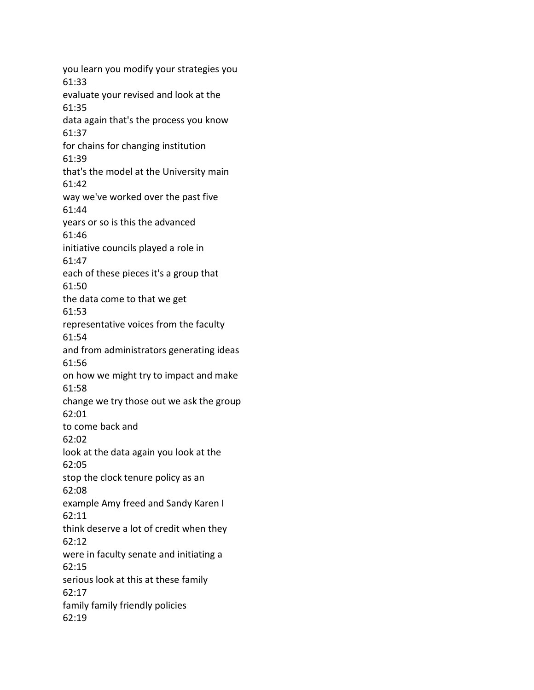you learn you modify your strategies you 61:33 evaluate your revised and look at the 61:35 data again that's the process you know 61:37 for chains for changing institution 61:39 that's the model at the University main 61:42 way we've worked over the past five 61:44 years or so is this the advanced 61:46 initiative councils played a role in 61:47 each of these pieces it's a group that 61:50 the data come to that we get 61:53 representative voices from the faculty 61:54 and from administrators generating ideas 61:56 on how we might try to impact and make 61:58 change we try those out we ask the group 62:01 to come back and 62:02 look at the data again you look at the 62:05 stop the clock tenure policy as an 62:08 example Amy freed and Sandy Karen I 62:11 think deserve a lot of credit when they 62:12 were in faculty senate and initiating a 62:15 serious look at this at these family 62:17 family family friendly policies 62:19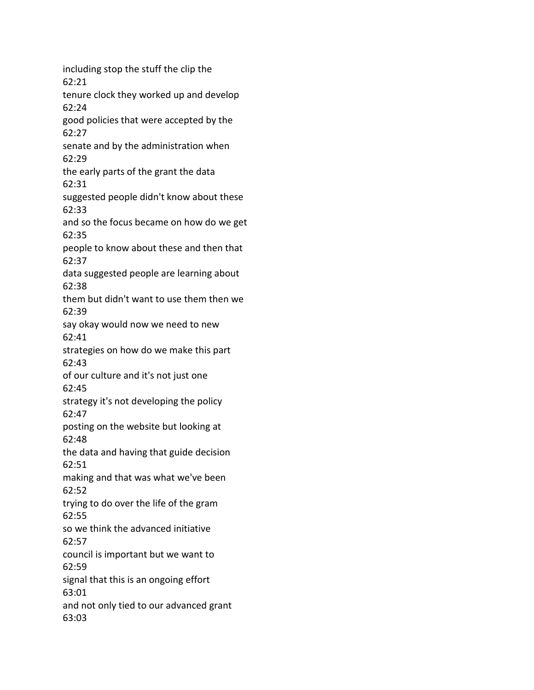including stop the stuff the clip the 62:21 tenure clock they worked up and develop 62:24 good policies that were accepted by the 62:27 senate and by the administration when 62:29 the early parts of the grant the data 62:31 suggested people didn't know about these 62:33 and so the focus became on how do we get 62:35 people to know about these and then that 62:37 data suggested people are learning about 62:38 them but didn't want to use them then we 62:39 say okay would now we need to new 62:41 strategies on how do we make this part 62:43 of our culture and it's not just one 62:45 strategy it's not developing the policy 62:47 posting on the website but looking at 62:48 the data and having that guide decision 62:51 making and that was what we've been 62:52 trying to do over the life of the gram 62:55 so we think the advanced initiative 62:57 council is important but we want to 62:59 signal that this is an ongoing effort 63:01 and not only tied to our advanced grant 63:03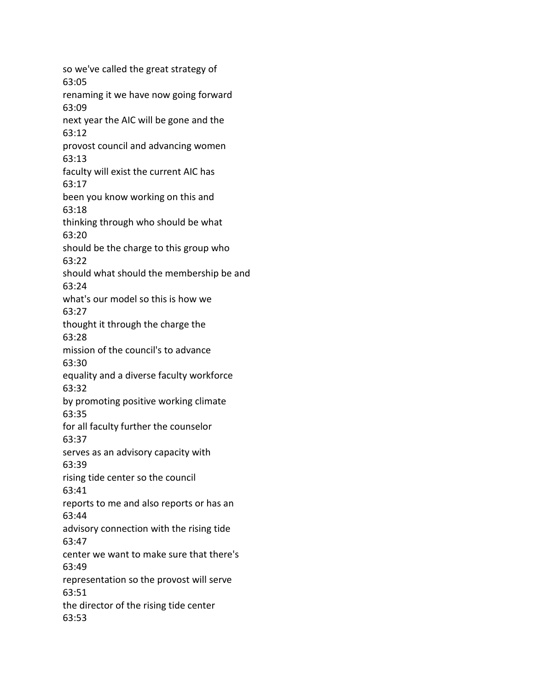so we've called the great strategy of 63:05 renaming it we have now going forward 63:09 next year the AIC will be gone and the 63:12 provost council and advancing women 63:13 faculty will exist the current AIC has 63:17 been you know working on this and 63:18 thinking through who should be what 63:20 should be the charge to this group who 63:22 should what should the membership be and 63:24 what's our model so this is how we 63:27 thought it through the charge the 63:28 mission of the council's to advance 63:30 equality and a diverse faculty workforce 63:32 by promoting positive working climate 63:35 for all faculty further the counselor 63:37 serves as an advisory capacity with 63:39 rising tide center so the council 63:41 reports to me and also reports or has an 63:44 advisory connection with the rising tide 63:47 center we want to make sure that there's 63:49 representation so the provost will serve 63:51 the director of the rising tide center 63:53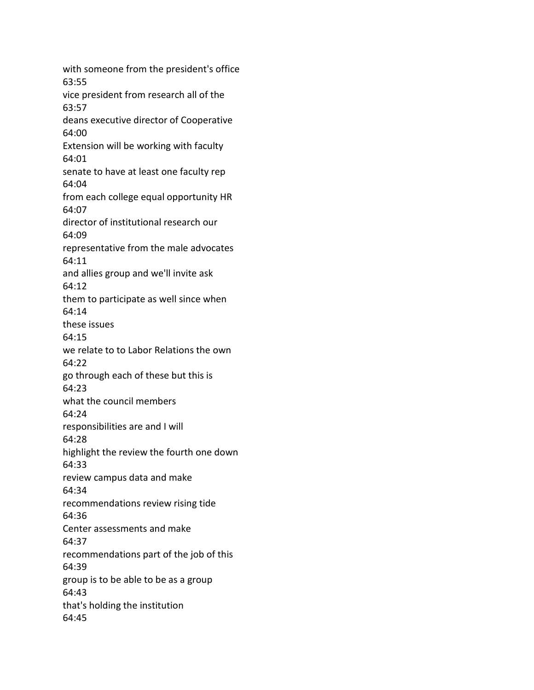with someone from the president's office 63:55 vice president from research all of the 63:57 deans executive director of Cooperative 64:00 Extension will be working with faculty 64:01 senate to have at least one faculty rep 64:04 from each college equal opportunity HR 64:07 director of institutional research our 64:09 representative from the male advocates 64:11 and allies group and we'll invite ask 64:12 them to participate as well since when 64:14 these issues 64:15 we relate to to Labor Relations the own 64:22 go through each of these but this is 64:23 what the council members 64:24 responsibilities are and I will 64:28 highlight the review the fourth one down 64:33 review campus data and make 64:34 recommendations review rising tide 64:36 Center assessments and make 64:37 recommendations part of the job of this 64:39 group is to be able to be as a group 64:43 that's holding the institution 64:45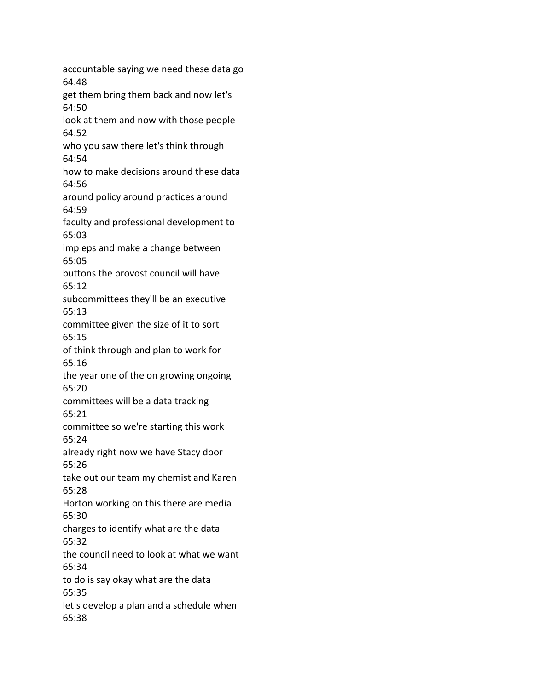accountable saying we need these data go 64:48 get them bring them back and now let's 64:50 look at them and now with those people 64:52 who you saw there let's think through 64:54 how to make decisions around these data 64:56 around policy around practices around 64:59 faculty and professional development to 65:03 imp eps and make a change between 65:05 buttons the provost council will have 65:12 subcommittees they'll be an executive 65:13 committee given the size of it to sort 65:15 of think through and plan to work for 65:16 the year one of the on growing ongoing 65:20 committees will be a data tracking 65:21 committee so we're starting this work 65:24 already right now we have Stacy door 65:26 take out our team my chemist and Karen 65:28 Horton working on this there are media 65:30 charges to identify what are the data 65:32 the council need to look at what we want 65:34 to do is say okay what are the data 65:35 let's develop a plan and a schedule when 65:38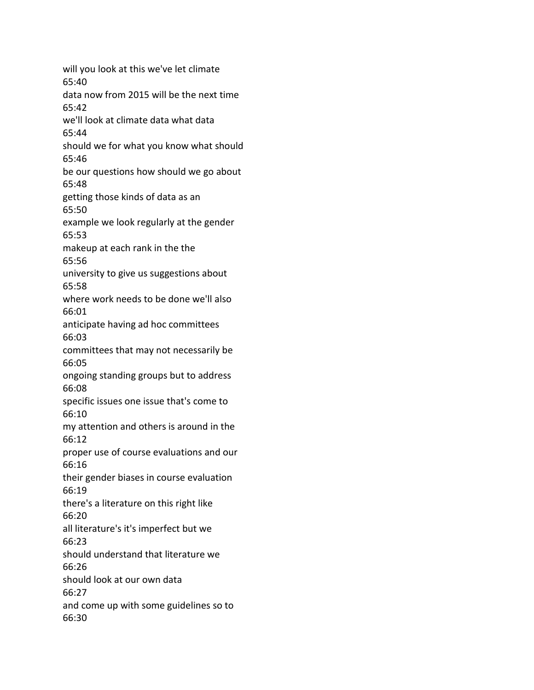will you look at this we've let climate 65:40 data now from 2015 will be the next time 65:42 we'll look at climate data what data 65:44 should we for what you know what should 65:46 be our questions how should we go about 65:48 getting those kinds of data as an 65:50 example we look regularly at the gender 65:53 makeup at each rank in the the 65:56 university to give us suggestions about 65:58 where work needs to be done we'll also 66:01 anticipate having ad hoc committees 66:03 committees that may not necessarily be 66:05 ongoing standing groups but to address 66:08 specific issues one issue that's come to 66:10 my attention and others is around in the 66:12 proper use of course evaluations and our 66:16 their gender biases in course evaluation 66:19 there's a literature on this right like 66:20 all literature's it's imperfect but we 66:23 should understand that literature we 66:26 should look at our own data 66:27 and come up with some guidelines so to 66:30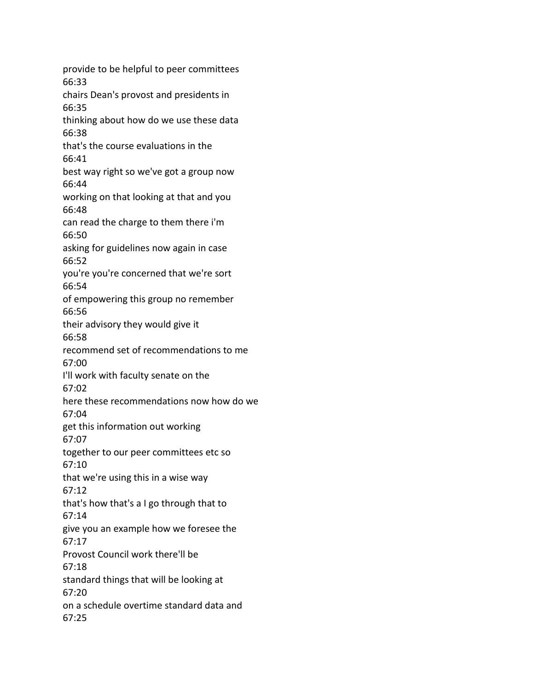provide to be helpful to peer committees 66:33 chairs Dean's provost and presidents in 66:35 thinking about how do we use these data 66:38 that's the course evaluations in the 66:41 best way right so we've got a group now 66:44 working on that looking at that and you 66:48 can read the charge to them there i'm 66:50 asking for guidelines now again in case 66:52 you're you're concerned that we're sort 66:54 of empowering this group no remember 66:56 their advisory they would give it 66:58 recommend set of recommendations to me 67:00 I'll work with faculty senate on the 67:02 here these recommendations now how do we 67:04 get this information out working 67:07 together to our peer committees etc so 67:10 that we're using this in a wise way 67:12 that's how that's a I go through that to 67:14 give you an example how we foresee the 67:17 Provost Council work there'll be 67:18 standard things that will be looking at 67:20 on a schedule overtime standard data and 67:25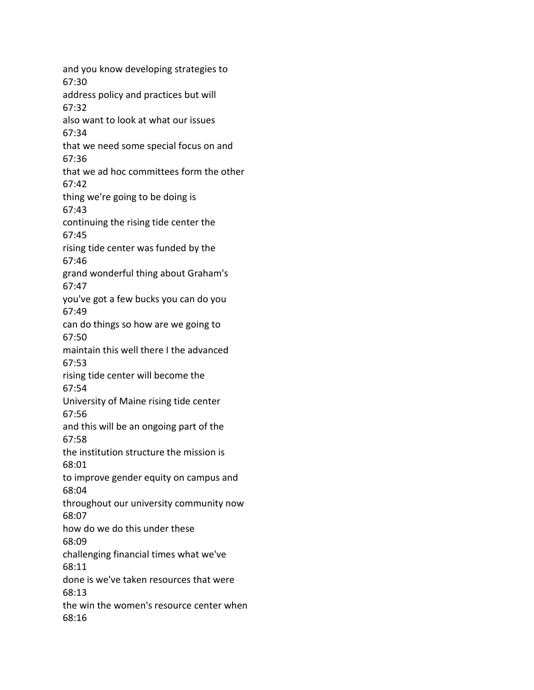and you know developing strategies to 67:30 address policy and practices but will 67:32 also want to look at what our issues 67:34 that we need some special focus on and 67:36 that we ad hoc committees form the other 67:42 thing we're going to be doing is 67:43 continuing the rising tide center the 67:45 rising tide center was funded by the 67:46 grand wonderful thing about Graham's 67:47 you've got a few bucks you can do you 67:49 can do things so how are we going to 67:50 maintain this well there I the advanced 67:53 rising tide center will become the 67:54 University of Maine rising tide center 67:56 and this will be an ongoing part of the 67:58 the institution structure the mission is 68:01 to improve gender equity on campus and 68:04 throughout our university community now 68:07 how do we do this under these 68:09 challenging financial times what we've 68:11 done is we've taken resources that were 68:13 the win the women's resource center when 68:16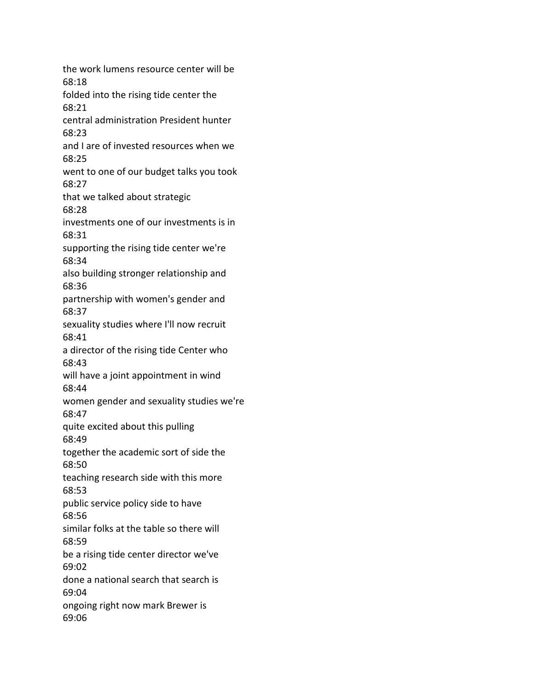the work lumens resource center will be 68:18 folded into the rising tide center the 68:21 central administration President hunter 68:23 and I are of invested resources when we 68:25 went to one of our budget talks you took 68:27 that we talked about strategic 68:28 investments one of our investments is in 68:31 supporting the rising tide center we're 68:34 also building stronger relationship and 68:36 partnership with women's gender and 68:37 sexuality studies where I'll now recruit 68:41 a director of the rising tide Center who 68:43 will have a joint appointment in wind 68:44 women gender and sexuality studies we're 68:47 quite excited about this pulling 68:49 together the academic sort of side the 68:50 teaching research side with this more 68:53 public service policy side to have 68:56 similar folks at the table so there will 68:59 be a rising tide center director we've 69:02 done a national search that search is 69:04 ongoing right now mark Brewer is 69:06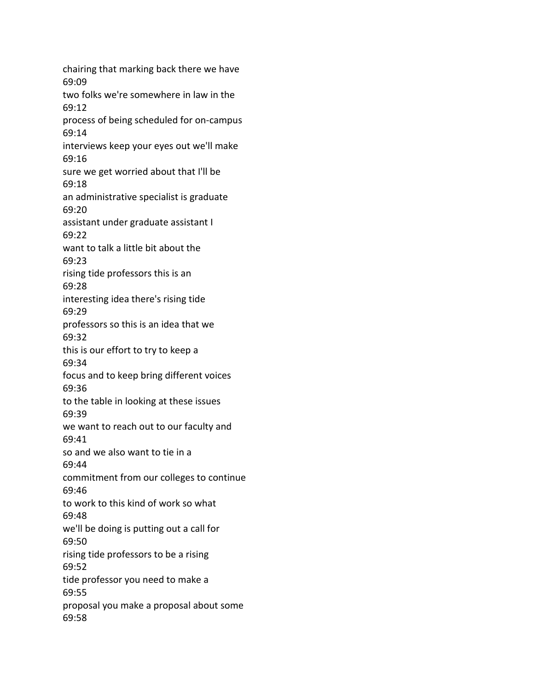chairing that marking back there we have 69:09 two folks we're somewhere in law in the 69:12 process of being scheduled for on-campus 69:14 interviews keep your eyes out we'll make 69:16 sure we get worried about that I'll be 69:18 an administrative specialist is graduate 69:20 assistant under graduate assistant I 69:22 want to talk a little bit about the 69:23 rising tide professors this is an 69:28 interesting idea there's rising tide 69:29 professors so this is an idea that we 69:32 this is our effort to try to keep a 69:34 focus and to keep bring different voices 69:36 to the table in looking at these issues 69:39 we want to reach out to our faculty and 69:41 so and we also want to tie in a 69:44 commitment from our colleges to continue 69:46 to work to this kind of work so what 69:48 we'll be doing is putting out a call for 69:50 rising tide professors to be a rising 69:52 tide professor you need to make a 69:55 proposal you make a proposal about some 69:58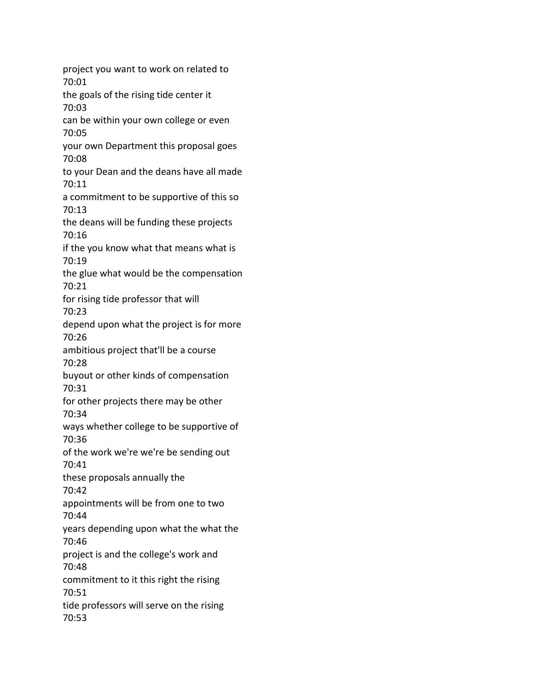project you want to work on related to 70:01 the goals of the rising tide center it 70:03 can be within your own college or even 70:05 your own Department this proposal goes 70:08 to your Dean and the deans have all made 70:11 a commitment to be supportive of this so 70:13 the deans will be funding these projects 70:16 if the you know what that means what is 70:19 the glue what would be the compensation 70:21 for rising tide professor that will 70:23 depend upon what the project is for more 70:26 ambitious project that'll be a course 70:28 buyout or other kinds of compensation 70:31 for other projects there may be other 70:34 ways whether college to be supportive of 70:36 of the work we're we're be sending out 70:41 these proposals annually the 70:42 appointments will be from one to two 70:44 years depending upon what the what the 70:46 project is and the college's work and 70:48 commitment to it this right the rising 70:51 tide professors will serve on the rising 70:53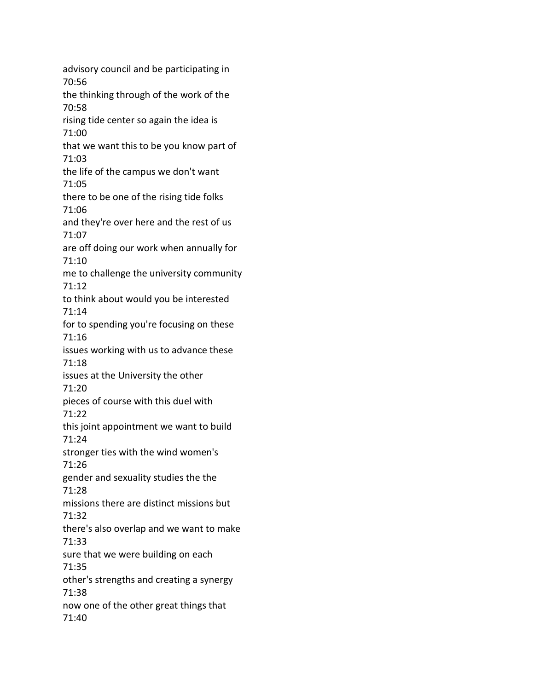advisory council and be participating in 70:56 the thinking through of the work of the 70:58 rising tide center so again the idea is 71:00 that we want this to be you know part of 71:03 the life of the campus we don't want 71:05 there to be one of the rising tide folks 71:06 and they're over here and the rest of us 71:07 are off doing our work when annually for 71:10 me to challenge the university community 71:12 to think about would you be interested 71:14 for to spending you're focusing on these 71:16 issues working with us to advance these 71:18 issues at the University the other 71:20 pieces of course with this duel with 71:22 this joint appointment we want to build 71:24 stronger ties with the wind women's 71:26 gender and sexuality studies the the 71:28 missions there are distinct missions but 71:32 there's also overlap and we want to make 71:33 sure that we were building on each 71:35 other's strengths and creating a synergy 71:38 now one of the other great things that 71:40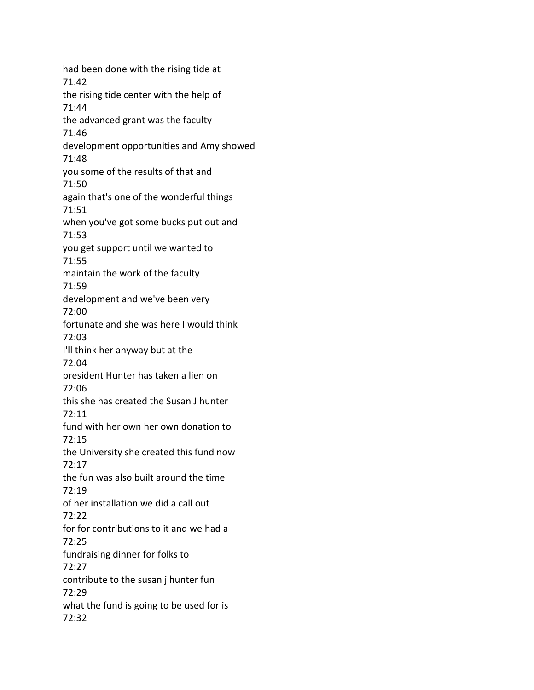had been done with the rising tide at 71:42 the rising tide center with the help of 71:44 the advanced grant was the faculty 71:46 development opportunities and Amy showed 71:48 you some of the results of that and 71:50 again that's one of the wonderful things 71:51 when you've got some bucks put out and 71:53 you get support until we wanted to 71:55 maintain the work of the faculty 71:59 development and we've been very 72:00 fortunate and she was here I would think 72:03 I'll think her anyway but at the 72:04 president Hunter has taken a lien on 72:06 this she has created the Susan J hunter 72:11 fund with her own her own donation to 72:15 the University she created this fund now 72:17 the fun was also built around the time 72:19 of her installation we did a call out 72:22 for for contributions to it and we had a 72:25 fundraising dinner for folks to 72:27 contribute to the susan j hunter fun 72:29 what the fund is going to be used for is 72:32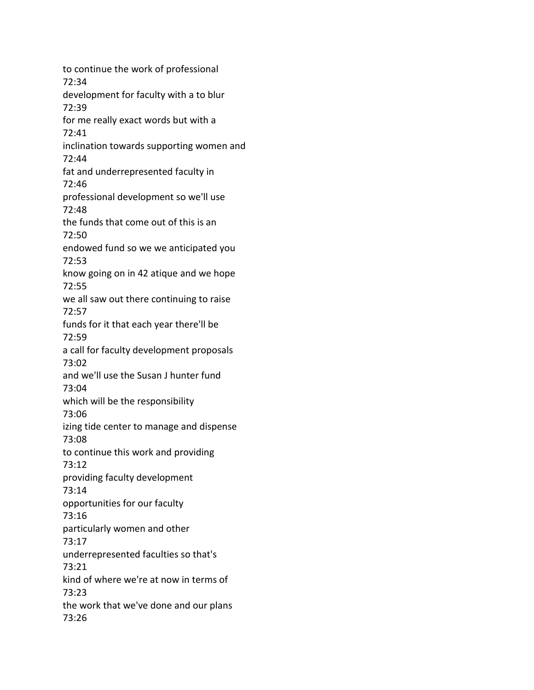to continue the work of professional 72:34 development for faculty with a to blur 72:39 for me really exact words but with a 72:41 inclination towards supporting women and 72:44 fat and underrepresented faculty in 72:46 professional development so we'll use 72:48 the funds that come out of this is an 72:50 endowed fund so we we anticipated you 72:53 know going on in 42 atique and we hope 72:55 we all saw out there continuing to raise 72:57 funds for it that each year there'll be 72:59 a call for faculty development proposals 73:02 and we'll use the Susan J hunter fund 73:04 which will be the responsibility 73:06 izing tide center to manage and dispense 73:08 to continue this work and providing 73:12 providing faculty development 73:14 opportunities for our faculty 73:16 particularly women and other 73:17 underrepresented faculties so that's 73:21 kind of where we're at now in terms of 73:23 the work that we've done and our plans 73:26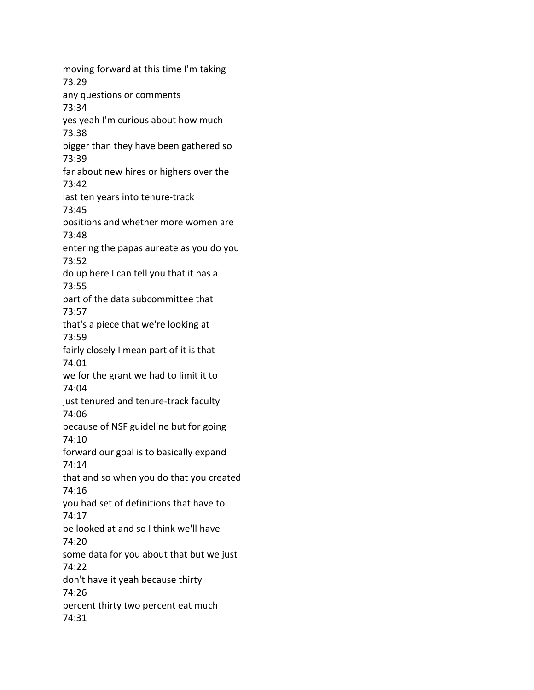moving forward at this time I'm taking 73:29 any questions or comments 73:34 yes yeah I'm curious about how much 73:38 bigger than they have been gathered so 73:39 far about new hires or highers over the 73:42 last ten years into tenure-track 73:45 positions and whether more women are 73:48 entering the papas aureate as you do you 73:52 do up here I can tell you that it has a 73:55 part of the data subcommittee that 73:57 that's a piece that we're looking at 73:59 fairly closely I mean part of it is that 74:01 we for the grant we had to limit it to 74:04 just tenured and tenure-track faculty 74:06 because of NSF guideline but for going 74:10 forward our goal is to basically expand 74:14 that and so when you do that you created 74:16 you had set of definitions that have to 74:17 be looked at and so I think we'll have 74:20 some data for you about that but we just 74:22 don't have it yeah because thirty 74:26 percent thirty two percent eat much 74:31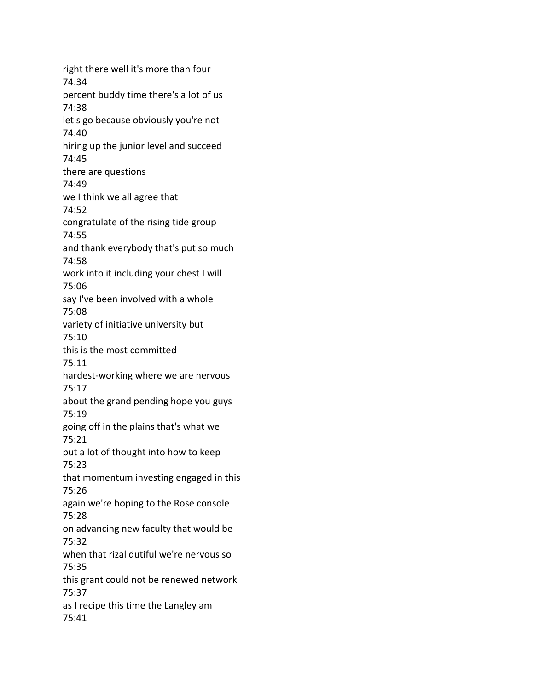right there well it's more than four 74:34 percent buddy time there's a lot of us 74:38 let's go because obviously you're not 74:40 hiring up the junior level and succeed 74:45 there are questions 74:49 we I think we all agree that 74:52 congratulate of the rising tide group 74:55 and thank everybody that's put so much 74:58 work into it including your chest I will 75:06 say I've been involved with a whole 75:08 variety of initiative university but 75:10 this is the most committed 75:11 hardest-working where we are nervous 75:17 about the grand pending hope you guys 75:19 going off in the plains that's what we 75:21 put a lot of thought into how to keep 75:23 that momentum investing engaged in this 75:26 again we're hoping to the Rose console 75:28 on advancing new faculty that would be 75:32 when that rizal dutiful we're nervous so 75:35 this grant could not be renewed network 75:37 as I recipe this time the Langley am 75:41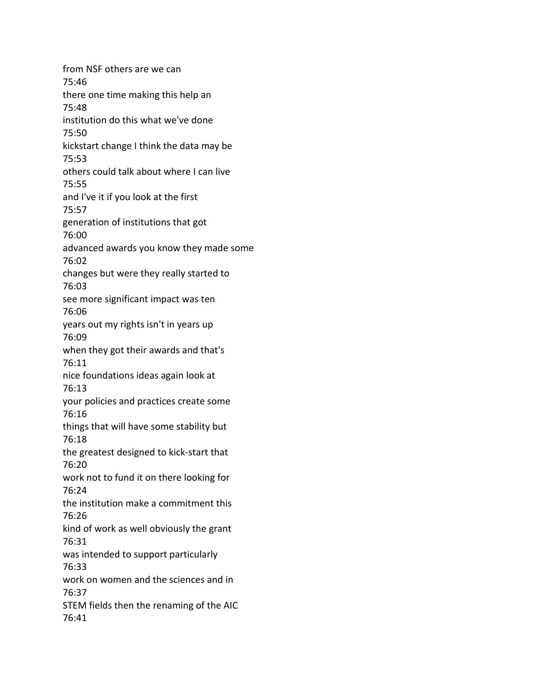from NSF others are we can 75:46 there one time making this help an 75:48 institution do this what we've done 75:50 kickstart change I think the data may be 75:53 others could talk about where I can live 75:55 and I've it if you look at the first 75:57 generation of institutions that got 76:00 advanced awards you know they made some 76:02 changes but were they really started to 76:03 see more significant impact was ten 76:06 years out my rights isn't in years up 76:09 when they got their awards and that's 76:11 nice foundations ideas again look at 76:13 your policies and practices create some 76:16 things that will have some stability but 76:18 the greatest designed to kick-start that 76:20 work not to fund it on there looking for 76:24 the institution make a commitment this 76:26 kind of work as well obviously the grant 76:31 was intended to support particularly 76:33 work on women and the sciences and in 76:37 STEM fields then the renaming of the AIC 76:41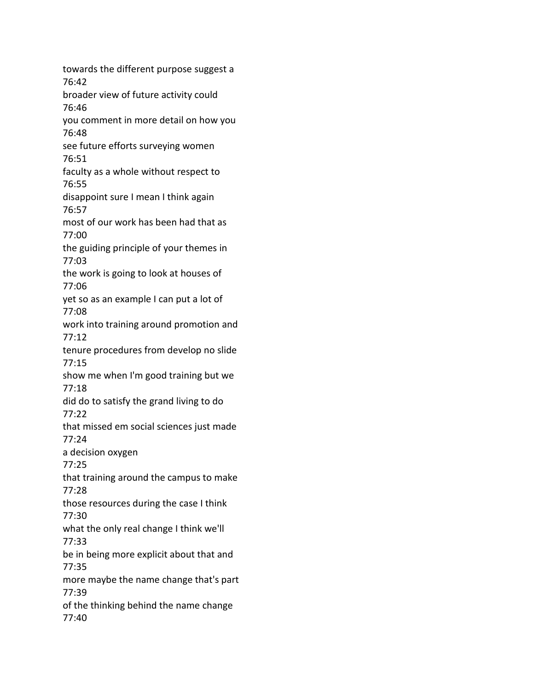towards the different purpose suggest a 76:42 broader view of future activity could 76:46 you comment in more detail on how you 76:48 see future efforts surveying women 76:51 faculty as a whole without respect to 76:55 disappoint sure I mean I think again 76:57 most of our work has been had that as 77:00 the guiding principle of your themes in 77:03 the work is going to look at houses of 77:06 yet so as an example I can put a lot of 77:08 work into training around promotion and 77:12 tenure procedures from develop no slide 77:15 show me when I'm good training but we 77:18 did do to satisfy the grand living to do 77:22 that missed em social sciences just made 77:24 a decision oxygen 77:25 that training around the campus to make 77:28 those resources during the case I think 77:30 what the only real change I think we'll 77:33 be in being more explicit about that and 77:35 more maybe the name change that's part 77:39 of the thinking behind the name change 77:40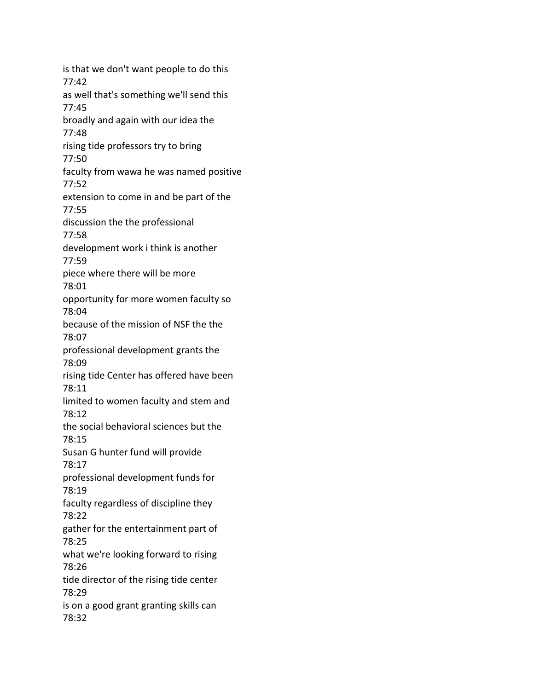is that we don't want people to do this 77:42 as well that's something we'll send this 77:45 broadly and again with our idea the 77:48 rising tide professors try to bring 77:50 faculty from wawa he was named positive 77:52 extension to come in and be part of the 77:55 discussion the the professional 77:58 development work i think is another 77:59 piece where there will be more 78:01 opportunity for more women faculty so 78:04 because of the mission of NSF the the 78:07 professional development grants the 78:09 rising tide Center has offered have been 78:11 limited to women faculty and stem and 78:12 the social behavioral sciences but the 78:15 Susan G hunter fund will provide 78:17 professional development funds for 78:19 faculty regardless of discipline they 78:22 gather for the entertainment part of 78:25 what we're looking forward to rising 78:26 tide director of the rising tide center 78:29 is on a good grant granting skills can 78:32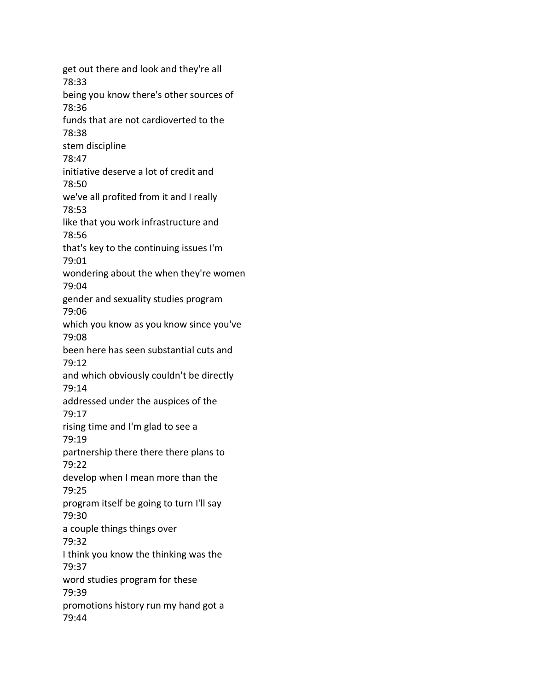get out there and look and they're all 78:33 being you know there's other sources of 78:36 funds that are not cardioverted to the 78:38 stem discipline 78:47 initiative deserve a lot of credit and 78:50 we've all profited from it and I really 78:53 like that you work infrastructure and 78:56 that's key to the continuing issues I'm 79:01 wondering about the when they're women 79:04 gender and sexuality studies program 79:06 which you know as you know since you've 79:08 been here has seen substantial cuts and 79:12 and which obviously couldn't be directly 79:14 addressed under the auspices of the 79:17 rising time and I'm glad to see a 79:19 partnership there there there plans to 79:22 develop when I mean more than the 79:25 program itself be going to turn I'll say 79:30 a couple things things over 79:32 I think you know the thinking was the 79:37 word studies program for these 79:39 promotions history run my hand got a 79:44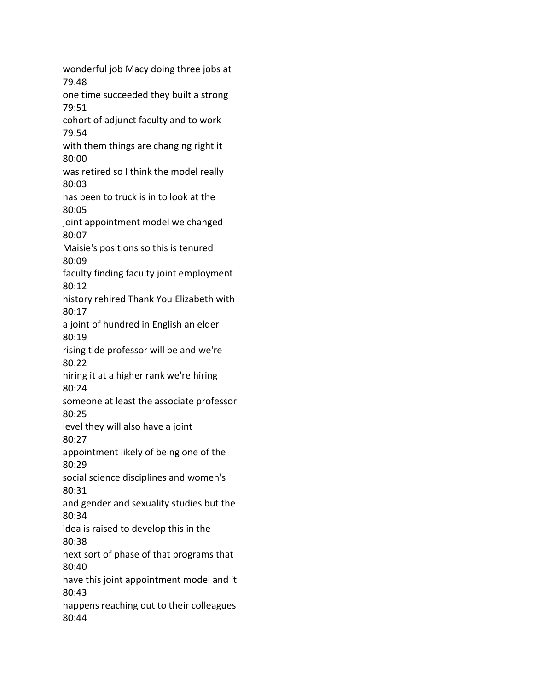wonderful job Macy doing three jobs at 79:48 one time succeeded they built a strong 79:51 cohort of adjunct faculty and to work 79:54 with them things are changing right it 80:00 was retired so I think the model really 80:03 has been to truck is in to look at the 80:05 joint appointment model we changed 80:07 Maisie's positions so this is tenured 80:09 faculty finding faculty joint employment 80:12 history rehired Thank You Elizabeth with 80:17 a joint of hundred in English an elder 80:19 rising tide professor will be and we're 80:22 hiring it at a higher rank we're hiring 80:24 someone at least the associate professor 80:25 level they will also have a joint 80:27 appointment likely of being one of the 80:29 social science disciplines and women's 80:31 and gender and sexuality studies but the 80:34 idea is raised to develop this in the 80:38 next sort of phase of that programs that 80:40 have this joint appointment model and it 80:43 happens reaching out to their colleagues 80:44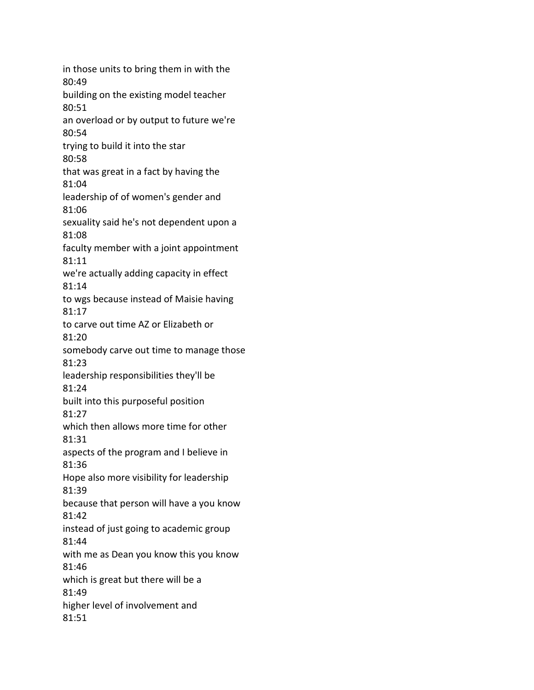in those units to bring them in with the 80:49 building on the existing model teacher 80:51 an overload or by output to future we're 80:54 trying to build it into the star 80:58 that was great in a fact by having the 81:04 leadership of of women's gender and 81:06 sexuality said he's not dependent upon a 81:08 faculty member with a joint appointment 81:11 we're actually adding capacity in effect 81:14 to wgs because instead of Maisie having 81:17 to carve out time AZ or Elizabeth or 81:20 somebody carve out time to manage those 81:23 leadership responsibilities they'll be 81:24 built into this purposeful position 81:27 which then allows more time for other 81:31 aspects of the program and I believe in 81:36 Hope also more visibility for leadership 81:39 because that person will have a you know 81:42 instead of just going to academic group 81:44 with me as Dean you know this you know 81:46 which is great but there will be a 81:49 higher level of involvement and 81:51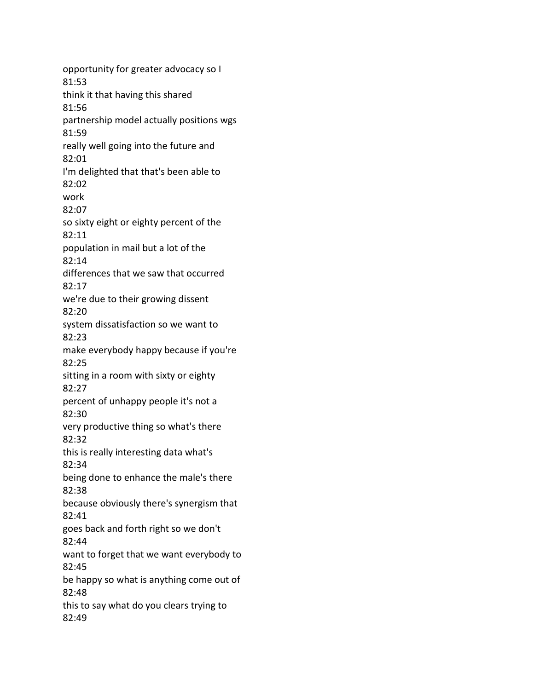opportunity for greater advocacy so I 81:53 think it that having this shared 81:56 partnership model actually positions wgs 81:59 really well going into the future and 82:01 I'm delighted that that's been able to 82:02 work 82:07 so sixty eight or eighty percent of the 82:11 population in mail but a lot of the 82:14 differences that we saw that occurred 82:17 we're due to their growing dissent 82:20 system dissatisfaction so we want to 82:23 make everybody happy because if you're 82:25 sitting in a room with sixty or eighty 82:27 percent of unhappy people it's not a 82:30 very productive thing so what's there 82:32 this is really interesting data what's 82:34 being done to enhance the male's there 82:38 because obviously there's synergism that 82:41 goes back and forth right so we don't 82:44 want to forget that we want everybody to 82:45 be happy so what is anything come out of 82:48 this to say what do you clears trying to 82:49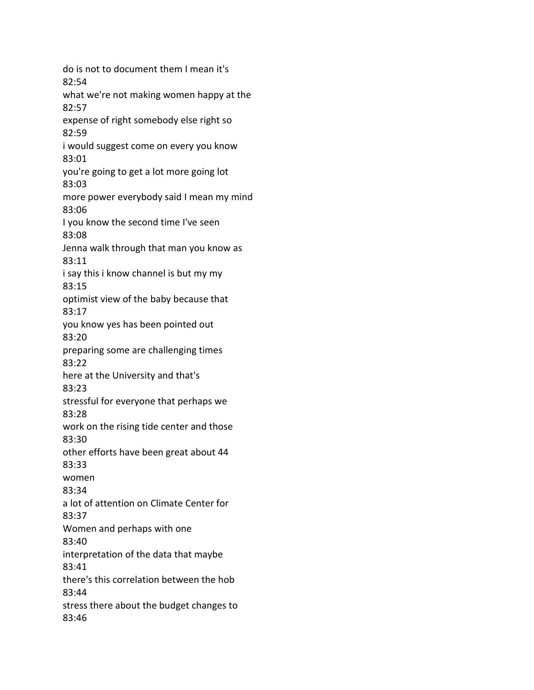do is not to document them I mean it's 82:54 what we're not making women happy at the 82:57 expense of right somebody else right so 82:59 i would suggest come on every you know 83:01 you're going to get a lot more going lot 83:03 more power everybody said I mean my mind 83:06 I you know the second time I've seen 83:08 Jenna walk through that man you know as 83:11 i say this i know channel is but my my 83:15 optimist view of the baby because that 83:17 you know yes has been pointed out 83:20 preparing some are challenging times 83:22 here at the University and that's 83:23 stressful for everyone that perhaps we 83:28 work on the rising tide center and those 83:30 other efforts have been great about 44 83:33 women 83:34 a lot of attention on Climate Center for 83:37 Women and perhaps with one 83:40 interpretation of the data that maybe 83:41 there's this correlation between the hob 83:44 stress there about the budget changes to 83:46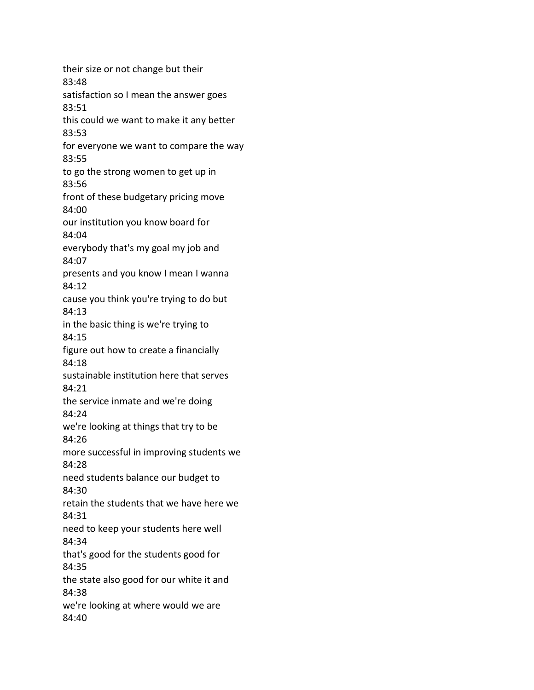their size or not change but their 83:48 satisfaction so I mean the answer goes 83:51 this could we want to make it any better 83:53 for everyone we want to compare the way 83:55 to go the strong women to get up in 83:56 front of these budgetary pricing move 84:00 our institution you know board for 84:04 everybody that's my goal my job and 84:07 presents and you know I mean I wanna 84:12 cause you think you're trying to do but 84:13 in the basic thing is we're trying to 84:15 figure out how to create a financially 84:18 sustainable institution here that serves 84:21 the service inmate and we're doing 84:24 we're looking at things that try to be 84:26 more successful in improving students we 84:28 need students balance our budget to 84:30 retain the students that we have here we 84:31 need to keep your students here well 84:34 that's good for the students good for 84:35 the state also good for our white it and 84:38 we're looking at where would we are 84:40